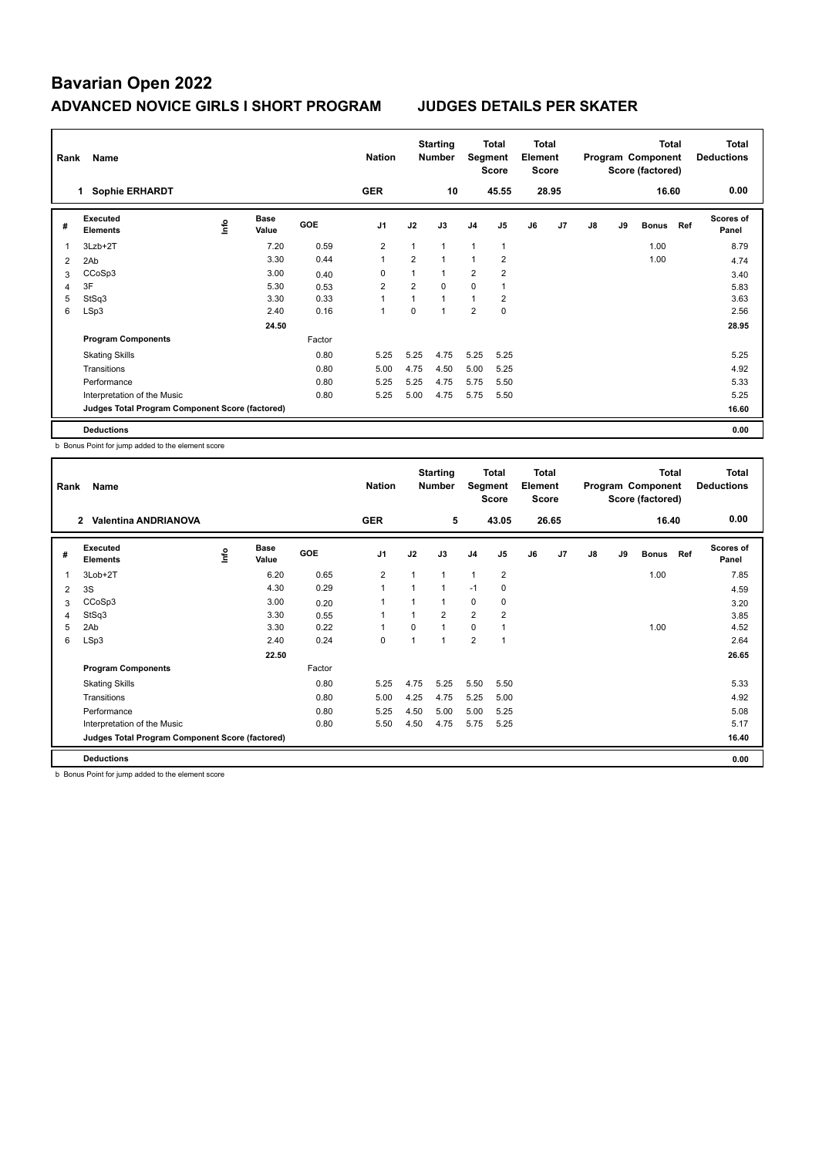| Rank | Name                                            |    |                      |        | <b>Nation</b>  |                | <b>Starting</b><br><b>Number</b> | Segment        | Total<br><b>Score</b> | <b>Total</b><br>Element<br><b>Score</b> |                |    |    | <b>Total</b><br>Program Component<br>Score (factored) |     | <b>Total</b><br><b>Deductions</b> |
|------|-------------------------------------------------|----|----------------------|--------|----------------|----------------|----------------------------------|----------------|-----------------------|-----------------------------------------|----------------|----|----|-------------------------------------------------------|-----|-----------------------------------|
|      | <b>Sophie ERHARDT</b><br>1.                     |    |                      |        | <b>GER</b>     |                | 10                               |                | 45.55                 |                                         | 28.95          |    |    | 16.60                                                 |     | 0.00                              |
| #    | Executed<br><b>Elements</b>                     | ۴Ů | <b>Base</b><br>Value | GOE    | J <sub>1</sub> | J2             | J3                               | J <sub>4</sub> | J <sub>5</sub>        | J6                                      | J <sub>7</sub> | J8 | J9 | <b>Bonus</b>                                          | Ref | <b>Scores of</b><br>Panel         |
| 1    | 3Lzb+2T                                         |    | 7.20                 | 0.59   | $\overline{2}$ |                | $\mathbf{1}$                     | $\mathbf{1}$   | $\mathbf{1}$          |                                         |                |    |    | 1.00                                                  |     | 8.79                              |
| 2    | 2Ab                                             |    | 3.30                 | 0.44   | $\overline{1}$ | $\overline{2}$ | $\mathbf{1}$                     | $\mathbf{1}$   | 2                     |                                         |                |    |    | 1.00                                                  |     | 4.74                              |
| 3    | CCoSp3                                          |    | 3.00                 | 0.40   | 0              |                | $\mathbf{1}$                     | $\overline{2}$ | $\overline{2}$        |                                         |                |    |    |                                                       |     | 3.40                              |
| 4    | 3F                                              |    | 5.30                 | 0.53   | 2              | $\overline{2}$ | $\Omega$                         | 0              |                       |                                         |                |    |    |                                                       |     | 5.83                              |
| 5    | StSq3                                           |    | 3.30                 | 0.33   | $\overline{ }$ |                | $\overline{1}$                   | $\mathbf{1}$   | $\overline{2}$        |                                         |                |    |    |                                                       |     | 3.63                              |
| 6    | LSp3                                            |    | 2.40                 | 0.16   | 1              | $\Omega$       | 1                                | $\overline{2}$ | $\mathbf 0$           |                                         |                |    |    |                                                       |     | 2.56                              |
|      |                                                 |    | 24.50                |        |                |                |                                  |                |                       |                                         |                |    |    |                                                       |     | 28.95                             |
|      | <b>Program Components</b>                       |    |                      | Factor |                |                |                                  |                |                       |                                         |                |    |    |                                                       |     |                                   |
|      | <b>Skating Skills</b>                           |    |                      | 0.80   | 5.25           | 5.25           | 4.75                             | 5.25           | 5.25                  |                                         |                |    |    |                                                       |     | 5.25                              |
|      | Transitions                                     |    |                      | 0.80   | 5.00           | 4.75           | 4.50                             | 5.00           | 5.25                  |                                         |                |    |    |                                                       |     | 4.92                              |
|      | Performance                                     |    |                      | 0.80   | 5.25           | 5.25           | 4.75                             | 5.75           | 5.50                  |                                         |                |    |    |                                                       |     | 5.33                              |
|      | Interpretation of the Music                     |    |                      | 0.80   | 5.25           | 5.00           | 4.75                             | 5.75           | 5.50                  |                                         |                |    |    |                                                       |     | 5.25                              |
|      | Judges Total Program Component Score (factored) |    |                      |        |                |                |                                  |                |                       |                                         |                |    |    |                                                       |     | 16.60                             |
|      | <b>Deductions</b>                               |    |                      |        |                |                |                                  |                |                       |                                         |                |    |    |                                                       |     | 0.00                              |

b Bonus Point for jump added to the element score

| Rank           | Name                                            |    |                      |            | <b>Nation</b>            |                | <b>Starting</b><br><b>Number</b> | Segment        | Total<br><b>Score</b> | Total<br>Element<br>Score |                |    |    | <b>Total</b><br>Program Component<br>Score (factored) |     | Total<br><b>Deductions</b> |
|----------------|-------------------------------------------------|----|----------------------|------------|--------------------------|----------------|----------------------------------|----------------|-----------------------|---------------------------|----------------|----|----|-------------------------------------------------------|-----|----------------------------|
|                | <b>Valentina ANDRIANOVA</b><br>$\mathbf{2}$     |    |                      |            | <b>GER</b>               |                | 5                                |                | 43.05                 |                           | 26.65          |    |    | 16.40                                                 |     | 0.00                       |
| #              | Executed<br><b>Elements</b>                     | ۴ů | <b>Base</b><br>Value | <b>GOE</b> | J <sub>1</sub>           | J2             | J3                               | J <sub>4</sub> | J <sub>5</sub>        | J6                        | J <sub>7</sub> | J8 | J9 | <b>Bonus</b>                                          | Ref | <b>Scores of</b><br>Panel  |
| $\overline{1}$ | 3Lob+2T                                         |    | 6.20                 | 0.65       | $\overline{2}$           | 1              | 1                                | $\overline{1}$ | $\overline{2}$        |                           |                |    |    | 1.00                                                  |     | 7.85                       |
| 2              | 3S                                              |    | 4.30                 | 0.29       | $\overline{1}$           | $\overline{1}$ | 1                                | $-1$           | 0                     |                           |                |    |    |                                                       |     | 4.59                       |
| 3              | CCoSp3                                          |    | 3.00                 | 0.20       |                          |                | 1                                | $\mathbf 0$    | 0                     |                           |                |    |    |                                                       |     | 3.20                       |
| 4              | StSq3                                           |    | 3.30                 | 0.55       |                          | $\overline{1}$ | $\overline{2}$                   | $\overline{2}$ | $\overline{2}$        |                           |                |    |    |                                                       |     | 3.85                       |
| 5              | 2Ab                                             |    | 3.30                 | 0.22       | $\overline{\phantom{a}}$ | 0              | 1                                | $\mathbf 0$    | 1                     |                           |                |    |    | 1.00                                                  |     | 4.52                       |
| 6              | LSp3                                            |    | 2.40                 | 0.24       | 0                        | 1              | 1                                | $\overline{2}$ | 1                     |                           |                |    |    |                                                       |     | 2.64                       |
|                |                                                 |    | 22.50                |            |                          |                |                                  |                |                       |                           |                |    |    |                                                       |     | 26.65                      |
|                | <b>Program Components</b>                       |    |                      | Factor     |                          |                |                                  |                |                       |                           |                |    |    |                                                       |     |                            |
|                | <b>Skating Skills</b>                           |    |                      | 0.80       | 5.25                     | 4.75           | 5.25                             | 5.50           | 5.50                  |                           |                |    |    |                                                       |     | 5.33                       |
|                | Transitions                                     |    |                      | 0.80       | 5.00                     | 4.25           | 4.75                             | 5.25           | 5.00                  |                           |                |    |    |                                                       |     | 4.92                       |
|                | Performance                                     |    |                      | 0.80       | 5.25                     | 4.50           | 5.00                             | 5.00           | 5.25                  |                           |                |    |    |                                                       |     | 5.08                       |
|                | Interpretation of the Music                     |    |                      | 0.80       | 5.50                     | 4.50           | 4.75                             | 5.75           | 5.25                  |                           |                |    |    |                                                       |     | 5.17                       |
|                | Judges Total Program Component Score (factored) |    |                      |            |                          |                |                                  |                |                       |                           |                |    |    |                                                       |     | 16.40                      |
|                | <b>Deductions</b>                               |    |                      |            |                          |                |                                  |                |                       |                           |                |    |    |                                                       |     | 0.00                       |

b Bonus Point for jump added to the element score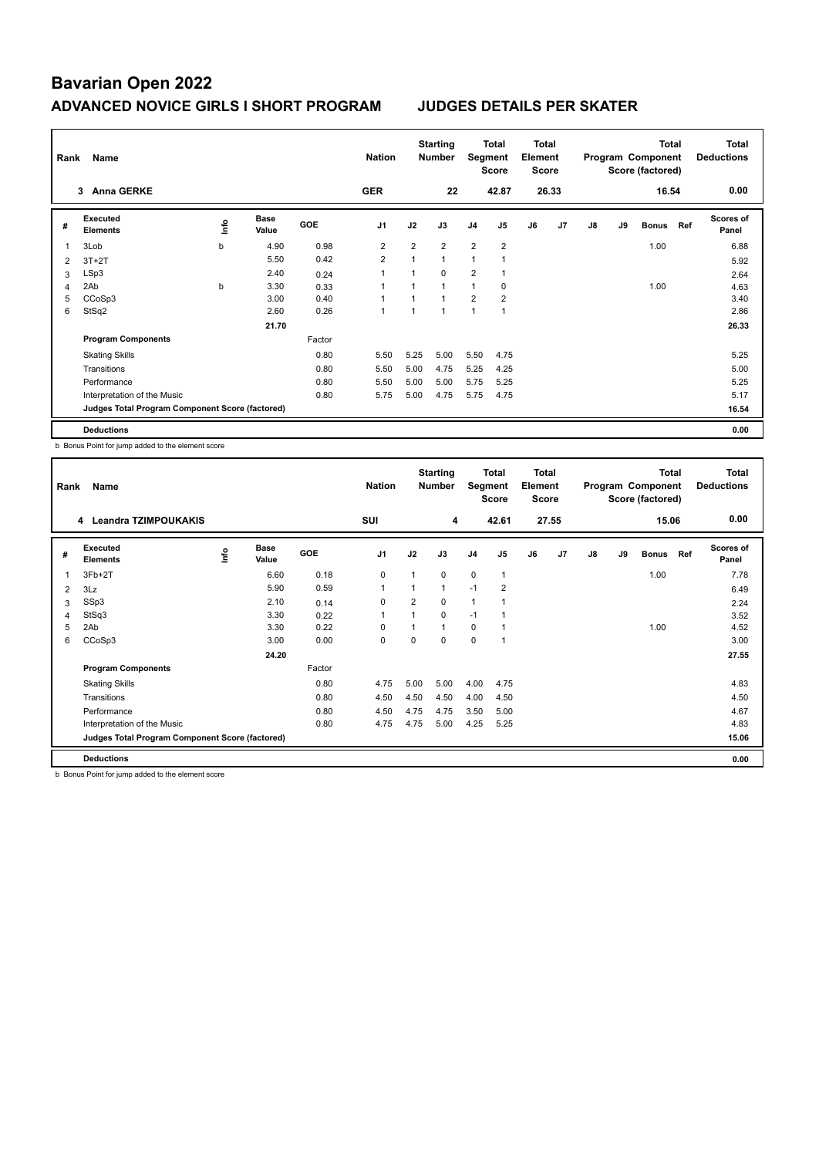| Rank | Name                                            |    |                      |            | <b>Nation</b>  |                | <b>Starting</b><br><b>Number</b> | Segment        | Total<br><b>Score</b> | <b>Total</b><br>Element<br><b>Score</b> |                |    |    | <b>Total</b><br>Program Component<br>Score (factored) |     | <b>Total</b><br><b>Deductions</b> |
|------|-------------------------------------------------|----|----------------------|------------|----------------|----------------|----------------------------------|----------------|-----------------------|-----------------------------------------|----------------|----|----|-------------------------------------------------------|-----|-----------------------------------|
|      | 3 Anna GERKE                                    |    |                      |            | <b>GER</b>     |                | 22                               |                | 42.87                 |                                         | 26.33          |    |    | 16.54                                                 |     | 0.00                              |
| #    | <b>Executed</b><br><b>Elements</b>              | ۴ů | <b>Base</b><br>Value | <b>GOE</b> | J <sub>1</sub> | J2             | J3                               | J <sub>4</sub> | J <sub>5</sub>        | J6                                      | J <sub>7</sub> | J8 | J9 | <b>Bonus</b>                                          | Ref | <b>Scores of</b><br>Panel         |
| 1    | 3Lob                                            | b  | 4.90                 | 0.98       | $\overline{2}$ | $\overline{2}$ | $\overline{2}$                   | $\overline{2}$ | $\overline{2}$        |                                         |                |    |    | 1.00                                                  |     | 6.88                              |
| 2    | $3T+2T$                                         |    | 5.50                 | 0.42       | 2              | $\mathbf{1}$   | $\mathbf{1}$                     | 1              |                       |                                         |                |    |    |                                                       |     | 5.92                              |
| 3    | LSp3                                            |    | 2.40                 | 0.24       | 1              |                | $\Omega$                         | $\overline{2}$ |                       |                                         |                |    |    |                                                       |     | 2.64                              |
| 4    | 2Ab                                             | b  | 3.30                 | 0.33       | 1              |                | $\overline{ }$                   | 1              | 0                     |                                         |                |    |    | 1.00                                                  |     | 4.63                              |
| 5    | CCoSp3                                          |    | 3.00                 | 0.40       | $\overline{ }$ |                | $\overline{A}$                   | $\overline{2}$ | $\overline{2}$        |                                         |                |    |    |                                                       |     | 3.40                              |
| 6    | StSq2                                           |    | 2.60                 | 0.26       | 1              |                |                                  | 1              |                       |                                         |                |    |    |                                                       |     | 2.86                              |
|      |                                                 |    | 21.70                |            |                |                |                                  |                |                       |                                         |                |    |    |                                                       |     | 26.33                             |
|      | <b>Program Components</b>                       |    |                      | Factor     |                |                |                                  |                |                       |                                         |                |    |    |                                                       |     |                                   |
|      | <b>Skating Skills</b>                           |    |                      | 0.80       | 5.50           | 5.25           | 5.00                             | 5.50           | 4.75                  |                                         |                |    |    |                                                       |     | 5.25                              |
|      | Transitions                                     |    |                      | 0.80       | 5.50           | 5.00           | 4.75                             | 5.25           | 4.25                  |                                         |                |    |    |                                                       |     | 5.00                              |
|      | Performance                                     |    |                      | 0.80       | 5.50           | 5.00           | 5.00                             | 5.75           | 5.25                  |                                         |                |    |    |                                                       |     | 5.25                              |
|      | Interpretation of the Music                     |    |                      | 0.80       | 5.75           | 5.00           | 4.75                             | 5.75           | 4.75                  |                                         |                |    |    |                                                       |     | 5.17                              |
|      | Judges Total Program Component Score (factored) |    |                      |            |                |                |                                  |                |                       |                                         |                |    |    |                                                       |     | 16.54                             |
|      | <b>Deductions</b>                               |    |                      |            |                |                |                                  |                |                       |                                         |                |    |    |                                                       |     | 0.00                              |

b Bonus Point for jump added to the element score

| Rank | Name                                            |      |                      |        | <b>Nation</b>  |                | <b>Starting</b><br><b>Number</b> | Segment        | Total<br><b>Score</b> | <b>Total</b><br>Element<br><b>Score</b> |                |    |    | <b>Total</b><br>Program Component<br>Score (factored) |     | Total<br><b>Deductions</b> |
|------|-------------------------------------------------|------|----------------------|--------|----------------|----------------|----------------------------------|----------------|-----------------------|-----------------------------------------|----------------|----|----|-------------------------------------------------------|-----|----------------------------|
|      | Leandra TZIMPOUKAKIS<br>4                       |      |                      |        | SUI            |                | 4                                |                | 42.61                 |                                         | 27.55          |    |    | 15.06                                                 |     | 0.00                       |
| #    | Executed<br><b>Elements</b>                     | ١mfo | <b>Base</b><br>Value | GOE    | J <sub>1</sub> | J2             | J3                               | J <sub>4</sub> | J <sub>5</sub>        | J6                                      | J <sub>7</sub> | J8 | J9 | <b>Bonus</b>                                          | Ref | <b>Scores of</b><br>Panel  |
| 1    | $3Fb+2T$                                        |      | 6.60                 | 0.18   | 0              | 1              | 0                                | $\mathbf 0$    | $\mathbf{1}$          |                                         |                |    |    | 1.00                                                  |     | 7.78                       |
| 2    | 3Lz                                             |      | 5.90                 | 0.59   | $\overline{1}$ | 1              | 1                                | $-1$           | 2                     |                                         |                |    |    |                                                       |     | 6.49                       |
| 3    | SSp3                                            |      | 2.10                 | 0.14   | $\mathbf 0$    | $\overline{2}$ | 0                                | $\overline{1}$ | 1                     |                                         |                |    |    |                                                       |     | 2.24                       |
| 4    | StSq3                                           |      | 3.30                 | 0.22   |                | $\overline{1}$ | 0                                | $-1$           | 1                     |                                         |                |    |    |                                                       |     | 3.52                       |
| 5    | 2Ab                                             |      | 3.30                 | 0.22   | 0              | 1              | 1                                | $\mathbf 0$    | 1                     |                                         |                |    |    | 1.00                                                  |     | 4.52                       |
| 6    | CCoSp3                                          |      | 3.00                 | 0.00   | 0              | 0              | 0                                | $\mathbf 0$    | $\mathbf{1}$          |                                         |                |    |    |                                                       |     | 3.00                       |
|      |                                                 |      | 24.20                |        |                |                |                                  |                |                       |                                         |                |    |    |                                                       |     | 27.55                      |
|      | <b>Program Components</b>                       |      |                      | Factor |                |                |                                  |                |                       |                                         |                |    |    |                                                       |     |                            |
|      | <b>Skating Skills</b>                           |      |                      | 0.80   | 4.75           | 5.00           | 5.00                             | 4.00           | 4.75                  |                                         |                |    |    |                                                       |     | 4.83                       |
|      | Transitions                                     |      |                      | 0.80   | 4.50           | 4.50           | 4.50                             | 4.00           | 4.50                  |                                         |                |    |    |                                                       |     | 4.50                       |
|      | Performance                                     |      |                      | 0.80   | 4.50           | 4.75           | 4.75                             | 3.50           | 5.00                  |                                         |                |    |    |                                                       |     | 4.67                       |
|      | Interpretation of the Music                     |      |                      | 0.80   | 4.75           | 4.75           | 5.00                             | 4.25           | 5.25                  |                                         |                |    |    |                                                       |     | 4.83                       |
|      | Judges Total Program Component Score (factored) |      |                      |        |                |                |                                  |                |                       |                                         |                |    |    |                                                       |     | 15.06                      |
|      | <b>Deductions</b>                               |      |                      |        |                |                |                                  |                |                       |                                         |                |    |    |                                                       |     | 0.00                       |

b Bonus Point for jump added to the element score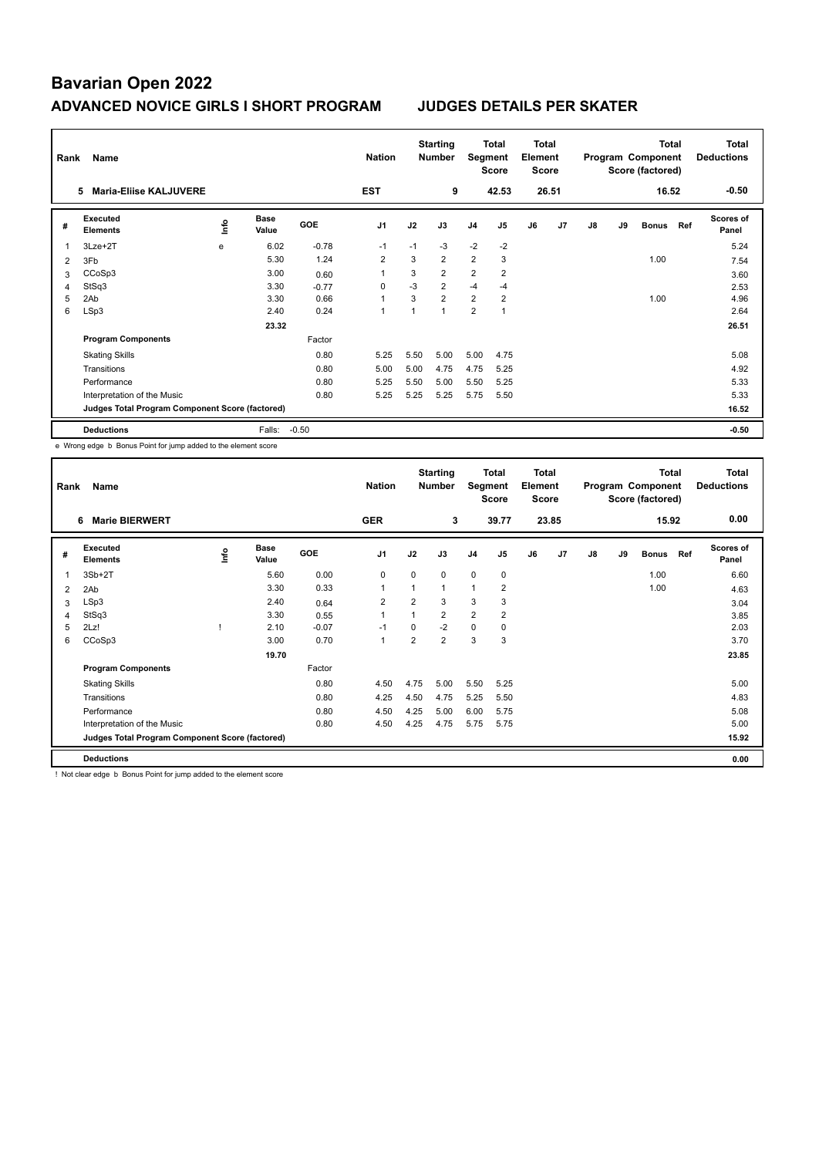| Rank | Name                                            |                                  |                      |            | <b>Nation</b>  |      | <b>Starting</b><br><b>Number</b> | Segment        | Total<br><b>Score</b> | <b>Total</b><br>Element<br><b>Score</b> |       |    |    | <b>Total</b><br>Program Component<br>Score (factored) |     | <b>Total</b><br><b>Deductions</b> |
|------|-------------------------------------------------|----------------------------------|----------------------|------------|----------------|------|----------------------------------|----------------|-----------------------|-----------------------------------------|-------|----|----|-------------------------------------------------------|-----|-----------------------------------|
|      | <b>Maria-Eliise KALJUVERE</b><br>5              |                                  |                      |            | <b>EST</b>     |      | 9                                |                | 42.53                 |                                         | 26.51 |    |    | 16.52                                                 |     | $-0.50$                           |
| #    | Executed<br><b>Elements</b>                     | $\mathop{\mathsf{Int}}\nolimits$ | <b>Base</b><br>Value | <b>GOE</b> | J <sub>1</sub> | J2   | J3                               | J <sub>4</sub> | J <sub>5</sub>        | J6                                      | J7    | J8 | J9 | <b>Bonus</b>                                          | Ref | <b>Scores of</b><br>Panel         |
| 1    | $3Lze+2T$                                       | e                                | 6.02                 | $-0.78$    | $-1$           | $-1$ | $-3$                             | $-2$           | $-2$                  |                                         |       |    |    |                                                       |     | 5.24                              |
| 2    | 3Fb                                             |                                  | 5.30                 | 1.24       | $\overline{2}$ | 3    | $\overline{2}$                   | $\overline{2}$ | 3                     |                                         |       |    |    | 1.00                                                  |     | 7.54                              |
| 3    | CCoSp3                                          |                                  | 3.00                 | 0.60       | 1              | 3    | $\overline{2}$                   | $\overline{2}$ | $\overline{2}$        |                                         |       |    |    |                                                       |     | 3.60                              |
| 4    | StSq3                                           |                                  | 3.30                 | $-0.77$    | 0              | $-3$ | $\overline{2}$                   | $-4$           | $-4$                  |                                         |       |    |    |                                                       |     | 2.53                              |
| 5    | 2Ab                                             |                                  | 3.30                 | 0.66       | 1              | 3    | $\overline{2}$                   | $\overline{2}$ | $\overline{2}$        |                                         |       |    |    | 1.00                                                  |     | 4.96                              |
| 6    | LSp3                                            |                                  | 2.40                 | 0.24       | $\overline{1}$ |      | $\mathbf{1}$                     | $\overline{2}$ | 1                     |                                         |       |    |    |                                                       |     | 2.64                              |
|      |                                                 |                                  | 23.32                |            |                |      |                                  |                |                       |                                         |       |    |    |                                                       |     | 26.51                             |
|      | <b>Program Components</b>                       |                                  |                      | Factor     |                |      |                                  |                |                       |                                         |       |    |    |                                                       |     |                                   |
|      | <b>Skating Skills</b>                           |                                  |                      | 0.80       | 5.25           | 5.50 | 5.00                             | 5.00           | 4.75                  |                                         |       |    |    |                                                       |     | 5.08                              |
|      | Transitions                                     |                                  |                      | 0.80       | 5.00           | 5.00 | 4.75                             | 4.75           | 5.25                  |                                         |       |    |    |                                                       |     | 4.92                              |
|      | Performance                                     |                                  |                      | 0.80       | 5.25           | 5.50 | 5.00                             | 5.50           | 5.25                  |                                         |       |    |    |                                                       |     | 5.33                              |
|      | Interpretation of the Music                     |                                  |                      | 0.80       | 5.25           | 5.25 | 5.25                             | 5.75           | 5.50                  |                                         |       |    |    |                                                       |     | 5.33                              |
|      | Judges Total Program Component Score (factored) |                                  |                      |            |                |      |                                  |                |                       |                                         |       |    |    |                                                       |     | 16.52                             |
|      | <b>Deductions</b>                               |                                  | Falls:               | $-0.50$    |                |      |                                  |                |                       |                                         |       |    |    |                                                       |     | $-0.50$                           |

e Wrong edge b Bonus Point for jump added to the element score

| Rank           | Name                                            |      |                      |         | <b>Nation</b>  |                | <b>Starting</b><br><b>Number</b> | Segment        | <b>Total</b><br><b>Score</b> | <b>Total</b><br>Element<br><b>Score</b> |                |               |    | <b>Total</b><br>Program Component<br>Score (factored) |     | <b>Total</b><br><b>Deductions</b> |
|----------------|-------------------------------------------------|------|----------------------|---------|----------------|----------------|----------------------------------|----------------|------------------------------|-----------------------------------------|----------------|---------------|----|-------------------------------------------------------|-----|-----------------------------------|
|                | <b>Marie BIERWERT</b><br>6                      |      |                      |         | <b>GER</b>     |                | 3                                |                | 39.77                        |                                         | 23.85          |               |    | 15.92                                                 |     | 0.00                              |
| #              | Executed<br><b>Elements</b>                     | ١nfo | <b>Base</b><br>Value | GOE     | J <sub>1</sub> | J2             | J3                               | J <sub>4</sub> | J <sub>5</sub>               | J6                                      | J <sub>7</sub> | $\mathsf{J}8$ | J9 | <b>Bonus</b>                                          | Ref | <b>Scores of</b><br>Panel         |
| 1              | $3Sb+2T$                                        |      | 5.60                 | 0.00    | $\mathbf 0$    | $\Omega$       | $\Omega$                         | $\mathbf 0$    | $\mathbf 0$                  |                                         |                |               |    | 1.00                                                  |     | 6.60                              |
| $\overline{2}$ | 2Ab                                             |      | 3.30                 | 0.33    | $\overline{1}$ | 1              | $\overline{1}$                   | 1              | $\overline{2}$               |                                         |                |               |    | 1.00                                                  |     | 4.63                              |
| 3              | LSp3                                            |      | 2.40                 | 0.64    | $\overline{2}$ | $\overline{2}$ | 3                                | 3              | 3                            |                                         |                |               |    |                                                       |     | 3.04                              |
| 4              | StSq3                                           |      | 3.30                 | 0.55    | $\overline{1}$ | $\mathbf{1}$   | $\overline{2}$                   | $\overline{2}$ | $\overline{2}$               |                                         |                |               |    |                                                       |     | 3.85                              |
| 5              | 2Lz!                                            |      | 2.10                 | $-0.07$ | $-1$           | $\Omega$       | $-2$                             | $\mathbf 0$    | $\mathbf 0$                  |                                         |                |               |    |                                                       |     | 2.03                              |
| 6              | CCoSp3                                          |      | 3.00                 | 0.70    | $\overline{1}$ | $\overline{2}$ | $\overline{2}$                   | 3              | 3                            |                                         |                |               |    |                                                       |     | 3.70                              |
|                |                                                 |      | 19.70                |         |                |                |                                  |                |                              |                                         |                |               |    |                                                       |     | 23.85                             |
|                | <b>Program Components</b>                       |      |                      | Factor  |                |                |                                  |                |                              |                                         |                |               |    |                                                       |     |                                   |
|                | <b>Skating Skills</b>                           |      |                      | 0.80    | 4.50           | 4.75           | 5.00                             | 5.50           | 5.25                         |                                         |                |               |    |                                                       |     | 5.00                              |
|                | Transitions                                     |      |                      | 0.80    | 4.25           | 4.50           | 4.75                             | 5.25           | 5.50                         |                                         |                |               |    |                                                       |     | 4.83                              |
|                | Performance                                     |      |                      | 0.80    | 4.50           | 4.25           | 5.00                             | 6.00           | 5.75                         |                                         |                |               |    |                                                       |     | 5.08                              |
|                | Interpretation of the Music                     |      |                      | 0.80    | 4.50           | 4.25           | 4.75                             | 5.75           | 5.75                         |                                         |                |               |    |                                                       |     | 5.00                              |
|                | Judges Total Program Component Score (factored) |      |                      |         |                |                |                                  |                |                              |                                         |                |               |    |                                                       |     | 15.92                             |
|                | <b>Deductions</b>                               |      |                      |         |                |                |                                  |                |                              |                                         |                |               |    |                                                       |     | 0.00                              |

! Not clear edge b Bonus Point for jump added to the element score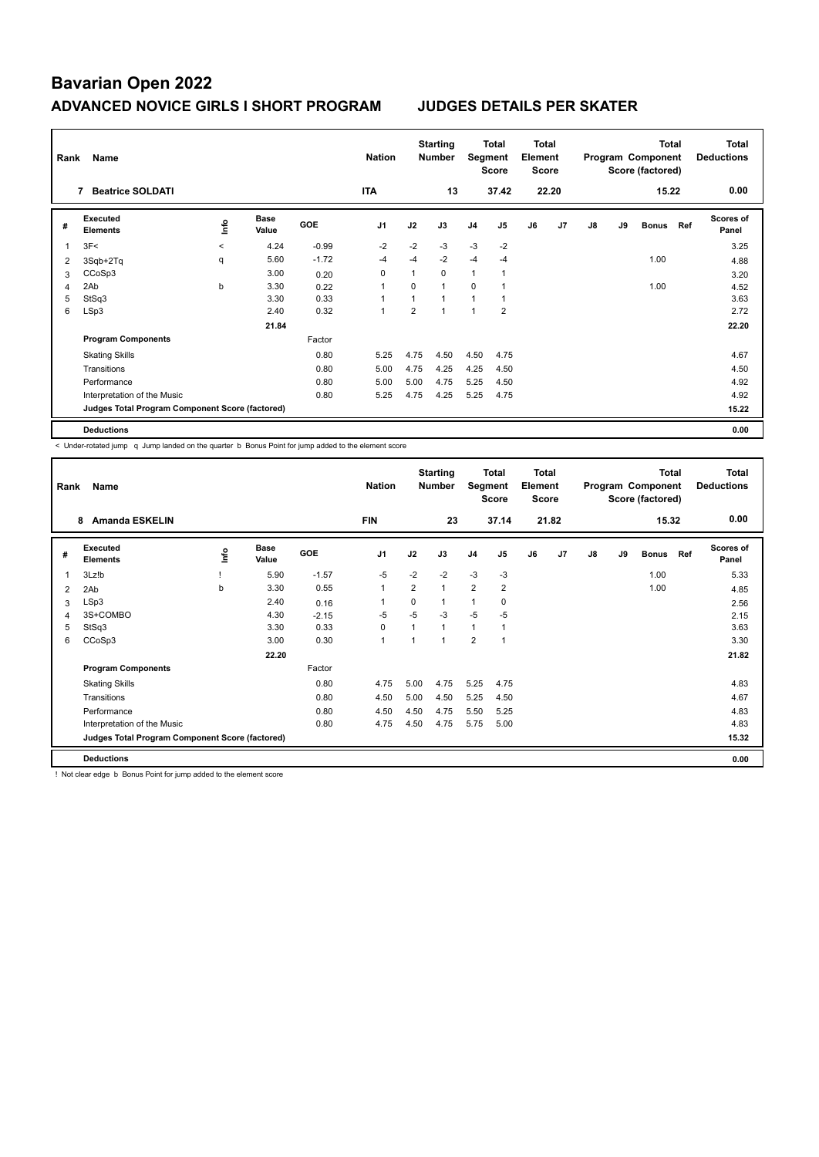| Rank | Name                                            |                |                      |         | <b>Nation</b>  |                | <b>Starting</b><br><b>Number</b> | Segment        | Total<br><b>Score</b> | <b>Total</b><br>Element<br><b>Score</b> |                |    |    | <b>Total</b><br>Program Component<br>Score (factored) |     | <b>Total</b><br><b>Deductions</b> |
|------|-------------------------------------------------|----------------|----------------------|---------|----------------|----------------|----------------------------------|----------------|-----------------------|-----------------------------------------|----------------|----|----|-------------------------------------------------------|-----|-----------------------------------|
|      | <b>Beatrice SOLDATI</b>                         |                |                      |         | <b>ITA</b>     |                | 13                               |                | 37.42                 |                                         | 22.20          |    |    | 15.22                                                 |     | 0.00                              |
| #    | Executed<br><b>Elements</b>                     | $\frac{6}{10}$ | <b>Base</b><br>Value | GOE     | J <sub>1</sub> | J2             | J3                               | J <sub>4</sub> | J <sub>5</sub>        | J6                                      | J <sub>7</sub> | J8 | J9 | <b>Bonus</b>                                          | Ref | <b>Scores of</b><br>Panel         |
| 1    | 3F<                                             | $\prec$        | 4.24                 | $-0.99$ | $-2$           | $-2$           | $-3$                             | $-3$           | $-2$                  |                                         |                |    |    |                                                       |     | 3.25                              |
| 2    | 3Sqb+2Tq                                        | q              | 5.60                 | $-1.72$ | -4             | $-4$           | $-2$                             | $-4$           | $-4$                  |                                         |                |    |    | 1.00                                                  |     | 4.88                              |
| 3    | CCoSp3                                          |                | 3.00                 | 0.20    | 0              |                | $\Omega$                         | $\mathbf{1}$   |                       |                                         |                |    |    |                                                       |     | 3.20                              |
| 4    | 2Ab                                             | b              | 3.30                 | 0.22    | 1              | $\Omega$       | $\mathbf{1}$                     | $\Omega$       |                       |                                         |                |    |    | 1.00                                                  |     | 4.52                              |
| 5    | StSq3                                           |                | 3.30                 | 0.33    | 4              |                | $\overline{1}$                   | $\mathbf{1}$   |                       |                                         |                |    |    |                                                       |     | 3.63                              |
| 6    | LSp3                                            |                | 2.40                 | 0.32    | 1              | $\overline{2}$ | $\mathbf 1$                      | 1              | $\overline{2}$        |                                         |                |    |    |                                                       |     | 2.72                              |
|      |                                                 |                | 21.84                |         |                |                |                                  |                |                       |                                         |                |    |    |                                                       |     | 22.20                             |
|      | <b>Program Components</b>                       |                |                      | Factor  |                |                |                                  |                |                       |                                         |                |    |    |                                                       |     |                                   |
|      | <b>Skating Skills</b>                           |                |                      | 0.80    | 5.25           | 4.75           | 4.50                             | 4.50           | 4.75                  |                                         |                |    |    |                                                       |     | 4.67                              |
|      | Transitions                                     |                |                      | 0.80    | 5.00           | 4.75           | 4.25                             | 4.25           | 4.50                  |                                         |                |    |    |                                                       |     | 4.50                              |
|      | Performance                                     |                |                      | 0.80    | 5.00           | 5.00           | 4.75                             | 5.25           | 4.50                  |                                         |                |    |    |                                                       |     | 4.92                              |
|      | Interpretation of the Music                     |                |                      | 0.80    | 5.25           | 4.75           | 4.25                             | 5.25           | 4.75                  |                                         |                |    |    |                                                       |     | 4.92                              |
|      | Judges Total Program Component Score (factored) |                |                      |         |                |                |                                  |                |                       |                                         |                |    |    |                                                       |     | 15.22                             |
|      | <b>Deductions</b>                               |                |                      |         |                |                |                                  |                |                       |                                         |                |    |    |                                                       |     | 0.00                              |

< Under-rotated jump q Jump landed on the quarter b Bonus Point for jump added to the element score

| Rank | Name                                            |    |                      |            | <b>Nation</b>  |              | <b>Starting</b><br><b>Number</b> | Segment        | Total<br><b>Score</b> | Total<br>Element<br><b>Score</b> |                |    |    | <b>Total</b><br>Program Component<br>Score (factored) |     | <b>Total</b><br><b>Deductions</b> |
|------|-------------------------------------------------|----|----------------------|------------|----------------|--------------|----------------------------------|----------------|-----------------------|----------------------------------|----------------|----|----|-------------------------------------------------------|-----|-----------------------------------|
|      | <b>Amanda ESKELIN</b><br>8                      |    |                      |            | <b>FIN</b>     |              | 23                               |                | 37.14                 |                                  | 21.82          |    |    | 15.32                                                 |     | 0.00                              |
| #    | Executed<br><b>Elements</b>                     | ۴ů | <b>Base</b><br>Value | <b>GOE</b> | J <sub>1</sub> | J2           | J3                               | J <sub>4</sub> | J5                    | J6                               | J <sub>7</sub> | J8 | J9 | <b>Bonus</b>                                          | Ref | <b>Scores of</b><br>Panel         |
| 1    | 3Lz!b                                           |    | 5.90                 | $-1.57$    | $-5$           | $-2$         | $-2$                             | $-3$           | -3                    |                                  |                |    |    | 1.00                                                  |     | 5.33                              |
| 2    | 2Ab                                             | b  | 3.30                 | 0.55       | $\mathbf{1}$   | 2            | $\mathbf{1}$                     | $\overline{2}$ | $\overline{2}$        |                                  |                |    |    | 1.00                                                  |     | 4.85                              |
| 3    | LSp3                                            |    | 2.40                 | 0.16       |                | 0            | 1                                | 1              | 0                     |                                  |                |    |    |                                                       |     | 2.56                              |
| 4    | 3S+COMBO                                        |    | 4.30                 | $-2.15$    | $-5$           | $-5$         | $-3$                             | $-5$           | $-5$                  |                                  |                |    |    |                                                       |     | 2.15                              |
| 5    | StSq3                                           |    | 3.30                 | 0.33       | $\Omega$       | $\mathbf{1}$ | $\mathbf{1}$                     | $\mathbf{1}$   | 1                     |                                  |                |    |    |                                                       |     | 3.63                              |
| 6    | CCoSp3                                          |    | 3.00                 | 0.30       | 1              | 1            | $\overline{A}$                   | $\overline{2}$ | $\overline{1}$        |                                  |                |    |    |                                                       |     | 3.30                              |
|      |                                                 |    | 22.20                |            |                |              |                                  |                |                       |                                  |                |    |    |                                                       |     | 21.82                             |
|      | <b>Program Components</b>                       |    |                      | Factor     |                |              |                                  |                |                       |                                  |                |    |    |                                                       |     |                                   |
|      | <b>Skating Skills</b>                           |    |                      | 0.80       | 4.75           | 5.00         | 4.75                             | 5.25           | 4.75                  |                                  |                |    |    |                                                       |     | 4.83                              |
|      | Transitions                                     |    |                      | 0.80       | 4.50           | 5.00         | 4.50                             | 5.25           | 4.50                  |                                  |                |    |    |                                                       |     | 4.67                              |
|      | Performance                                     |    |                      | 0.80       | 4.50           | 4.50         | 4.75                             | 5.50           | 5.25                  |                                  |                |    |    |                                                       |     | 4.83                              |
|      | Interpretation of the Music                     |    |                      | 0.80       | 4.75           | 4.50         | 4.75                             | 5.75           | 5.00                  |                                  |                |    |    |                                                       |     | 4.83                              |
|      | Judges Total Program Component Score (factored) |    |                      |            |                |              |                                  |                |                       |                                  |                |    |    |                                                       |     | 15.32                             |
|      | <b>Deductions</b>                               |    |                      |            |                |              |                                  |                |                       |                                  |                |    |    |                                                       |     | 0.00                              |

! Not clear edge b Bonus Point for jump added to the element score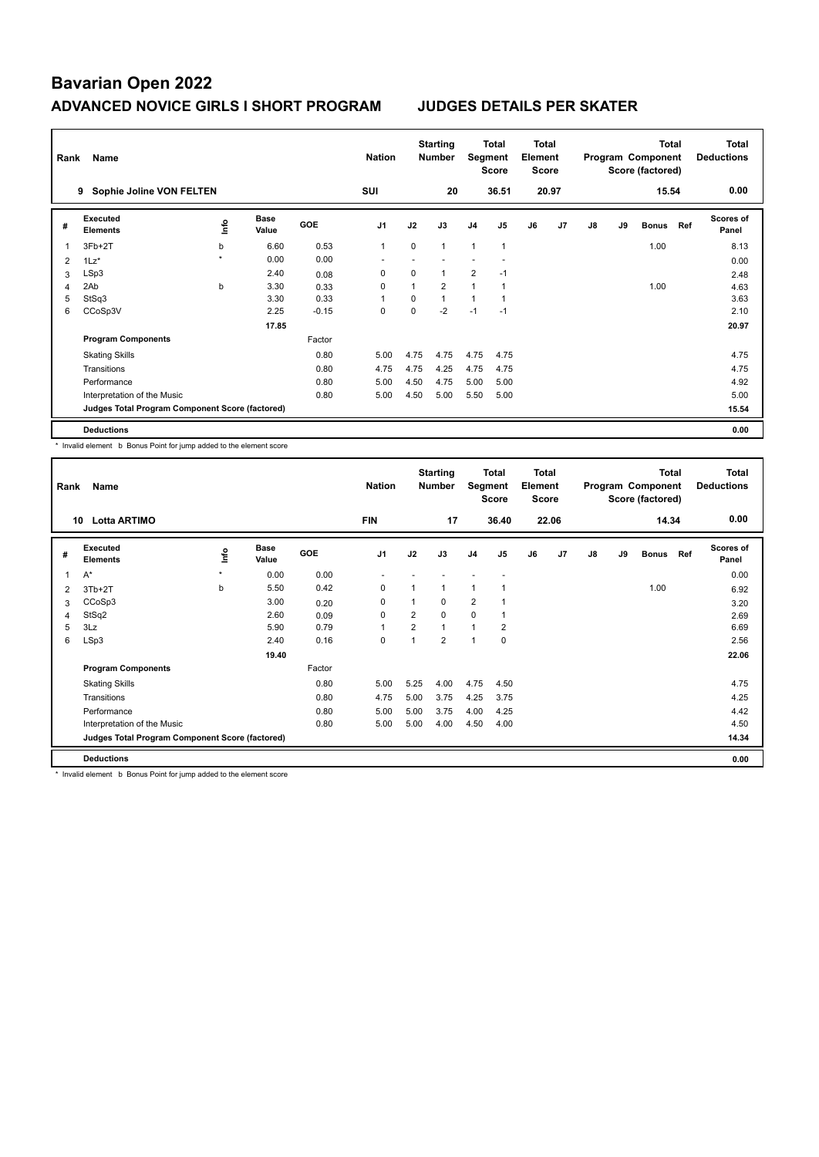| Rank | Name                                            |                     |                      |            | <b>Nation</b>  |             | <b>Starting</b><br><b>Number</b> | Segment        | Total<br><b>Score</b> | <b>Total</b><br>Element<br><b>Score</b> |                |    |    | <b>Total</b><br>Program Component<br>Score (factored) |     | Total<br><b>Deductions</b> |
|------|-------------------------------------------------|---------------------|----------------------|------------|----------------|-------------|----------------------------------|----------------|-----------------------|-----------------------------------------|----------------|----|----|-------------------------------------------------------|-----|----------------------------|
|      | Sophie Joline VON FELTEN<br>9                   |                     |                      |            | <b>SUI</b>     |             | 20                               |                | 36.51                 |                                         | 20.97          |    |    | 15.54                                                 |     | 0.00                       |
| #    | Executed<br><b>Elements</b>                     | ١nf٥                | <b>Base</b><br>Value | <b>GOE</b> | J <sub>1</sub> | J2          | J3                               | J <sub>4</sub> | J <sub>5</sub>        | J6                                      | J <sub>7</sub> | J8 | J9 | <b>Bonus</b>                                          | Ref | <b>Scores of</b><br>Panel  |
| 1    | 3Fb+2T                                          | b                   | 6.60                 | 0.53       | $\mathbf{1}$   | $\mathbf 0$ | $\mathbf{1}$                     | $\mathbf{1}$   | $\mathbf{1}$          |                                         |                |    |    | 1.00                                                  |     | 8.13                       |
| 2    | $1\text{Lz}^*$                                  | $\boldsymbol{\ast}$ | 0.00                 | 0.00       |                |             |                                  |                |                       |                                         |                |    |    |                                                       |     | 0.00                       |
| 3    | LSp3                                            |                     | 2.40                 | 0.08       | $\mathbf 0$    | $\Omega$    | $\mathbf{1}$                     | $\overline{2}$ | $-1$                  |                                         |                |    |    |                                                       |     | 2.48                       |
| 4    | 2Ab                                             | b                   | 3.30                 | 0.33       | 0              |             | $\overline{2}$                   | $\mathbf{1}$   |                       |                                         |                |    |    | 1.00                                                  |     | 4.63                       |
| 5    | StSq3                                           |                     | 3.30                 | 0.33       | $\overline{1}$ | $\Omega$    | 1                                | $\mathbf{1}$   |                       |                                         |                |    |    |                                                       |     | 3.63                       |
| 6    | CCoSp3V                                         |                     | 2.25                 | $-0.15$    | 0              | $\Omega$    | $-2$                             | $-1$           | $-1$                  |                                         |                |    |    |                                                       |     | 2.10                       |
|      |                                                 |                     | 17.85                |            |                |             |                                  |                |                       |                                         |                |    |    |                                                       |     | 20.97                      |
|      | <b>Program Components</b>                       |                     |                      | Factor     |                |             |                                  |                |                       |                                         |                |    |    |                                                       |     |                            |
|      | <b>Skating Skills</b>                           |                     |                      | 0.80       | 5.00           | 4.75        | 4.75                             | 4.75           | 4.75                  |                                         |                |    |    |                                                       |     | 4.75                       |
|      | Transitions                                     |                     |                      | 0.80       | 4.75           | 4.75        | 4.25                             | 4.75           | 4.75                  |                                         |                |    |    |                                                       |     | 4.75                       |
|      | Performance                                     |                     |                      | 0.80       | 5.00           | 4.50        | 4.75                             | 5.00           | 5.00                  |                                         |                |    |    |                                                       |     | 4.92                       |
|      | Interpretation of the Music                     |                     |                      | 0.80       | 5.00           | 4.50        | 5.00                             | 5.50           | 5.00                  |                                         |                |    |    |                                                       |     | 5.00                       |
|      | Judges Total Program Component Score (factored) |                     |                      |            |                |             |                                  |                |                       |                                         |                |    |    |                                                       |     | 15.54                      |
|      | <b>Deductions</b>                               |                     |                      |            |                |             |                                  |                |                       |                                         |                |    |    |                                                       |     | 0.00                       |

\* Invalid element b Bonus Point for jump added to the element score

| Rank           | Name                                            |         |                      |        | <b>Nation</b>  |      | <b>Starting</b><br><b>Number</b> | Segment        | <b>Total</b><br><b>Score</b> | <b>Total</b><br>Element<br><b>Score</b> |       |               |    | <b>Total</b><br>Program Component<br>Score (factored) |     | <b>Total</b><br><b>Deductions</b> |
|----------------|-------------------------------------------------|---------|----------------------|--------|----------------|------|----------------------------------|----------------|------------------------------|-----------------------------------------|-------|---------------|----|-------------------------------------------------------|-----|-----------------------------------|
|                | <b>Lotta ARTIMO</b><br>10                       |         |                      |        | <b>FIN</b>     |      | 17                               |                | 36.40                        |                                         | 22.06 |               |    | 14.34                                                 |     | 0.00                              |
| #              | Executed<br><b>Elements</b>                     | lnfo    | <b>Base</b><br>Value | GOE    | J <sub>1</sub> | J2   | J3                               | J <sub>4</sub> | J <sub>5</sub>               | J6                                      | J7    | $\mathsf{J}8$ | J9 | <b>Bonus</b>                                          | Ref | <b>Scores of</b><br>Panel         |
| $\overline{1}$ | $A^*$                                           | $\star$ | 0.00                 | 0.00   |                |      |                                  |                |                              |                                         |       |               |    |                                                       |     | 0.00                              |
| 2              | $3Tb+2T$                                        | b       | 5.50                 | 0.42   | 0              |      | $\mathbf{1}$                     | 1              |                              |                                         |       |               |    | 1.00                                                  |     | 6.92                              |
| 3              | CCoSp3                                          |         | 3.00                 | 0.20   | 0              |      | 0                                | 2              |                              |                                         |       |               |    |                                                       |     | 3.20                              |
| $\overline{4}$ | StSq2                                           |         | 2.60                 | 0.09   | 0              | 2    | 0                                | $\mathbf 0$    |                              |                                         |       |               |    |                                                       |     | 2.69                              |
| 5              | 3Lz                                             |         | 5.90                 | 0.79   | $\overline{1}$ | 2    | $\mathbf{1}$                     | $\mathbf{1}$   | $\overline{2}$               |                                         |       |               |    |                                                       |     | 6.69                              |
| 6              | LSp3                                            |         | 2.40                 | 0.16   | 0              |      | $\overline{2}$                   | 1              | $\mathbf 0$                  |                                         |       |               |    |                                                       |     | 2.56                              |
|                |                                                 |         | 19.40                |        |                |      |                                  |                |                              |                                         |       |               |    |                                                       |     | 22.06                             |
|                | <b>Program Components</b>                       |         |                      | Factor |                |      |                                  |                |                              |                                         |       |               |    |                                                       |     |                                   |
|                | <b>Skating Skills</b>                           |         |                      | 0.80   | 5.00           | 5.25 | 4.00                             | 4.75           | 4.50                         |                                         |       |               |    |                                                       |     | 4.75                              |
|                | Transitions                                     |         |                      | 0.80   | 4.75           | 5.00 | 3.75                             | 4.25           | 3.75                         |                                         |       |               |    |                                                       |     | 4.25                              |
|                | Performance                                     |         |                      | 0.80   | 5.00           | 5.00 | 3.75                             | 4.00           | 4.25                         |                                         |       |               |    |                                                       |     | 4.42                              |
|                | Interpretation of the Music                     |         |                      | 0.80   | 5.00           | 5.00 | 4.00                             | 4.50           | 4.00                         |                                         |       |               |    |                                                       |     | 4.50                              |
|                | Judges Total Program Component Score (factored) |         |                      |        |                |      |                                  |                |                              |                                         |       |               |    |                                                       |     | 14.34                             |
|                | <b>Deductions</b>                               |         |                      |        |                |      |                                  |                |                              |                                         |       |               |    |                                                       |     | 0.00                              |

\* Invalid element b Bonus Point for jump added to the element score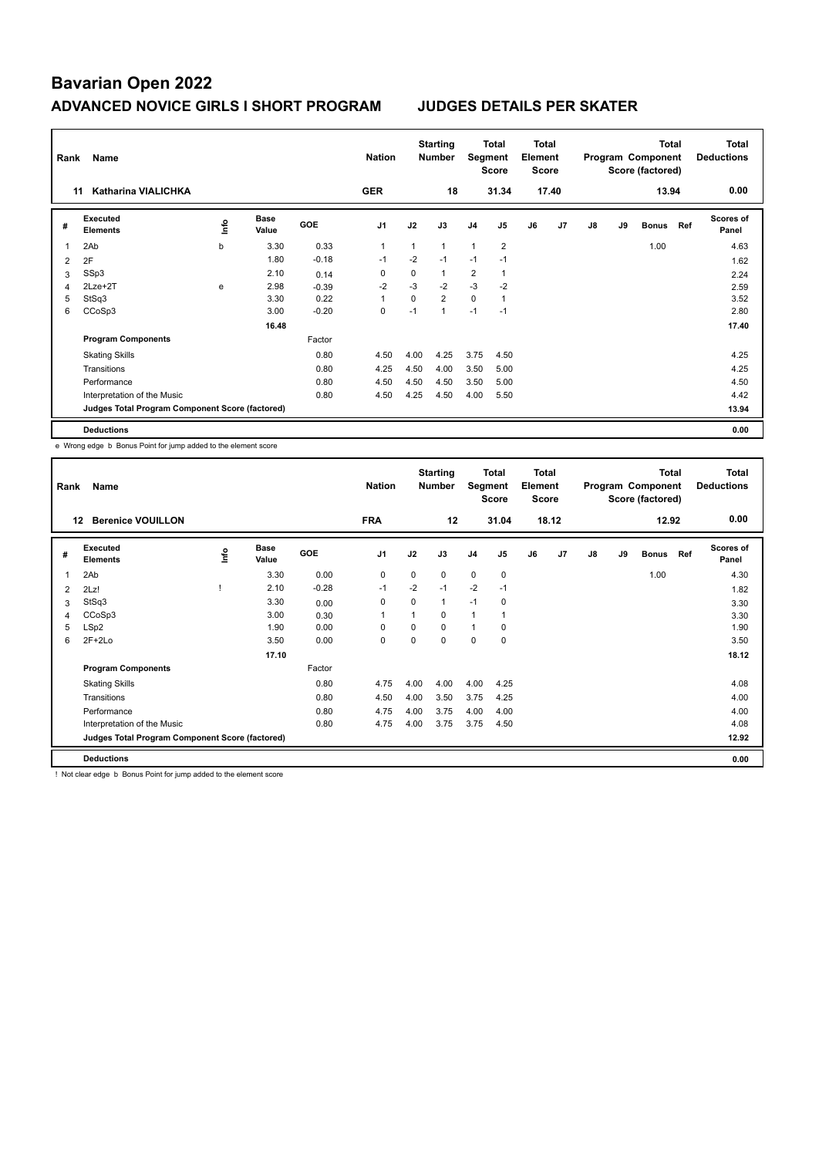| Rank           | Name                                            |      |                      |         | <b>Nation</b>  |          | <b>Starting</b><br><b>Number</b> | Segment        | Total<br><b>Score</b> | <b>Total</b><br>Element<br><b>Score</b> |                |    |    | <b>Total</b><br>Program Component<br>Score (factored) |     | Total<br><b>Deductions</b> |
|----------------|-------------------------------------------------|------|----------------------|---------|----------------|----------|----------------------------------|----------------|-----------------------|-----------------------------------------|----------------|----|----|-------------------------------------------------------|-----|----------------------------|
|                | <b>Katharina VIALICHKA</b><br>11                |      |                      |         | <b>GER</b>     |          | 18                               |                | 31.34                 |                                         | 17.40          |    |    | 13.94                                                 |     | 0.00                       |
| #              | Executed<br><b>Elements</b>                     | ١nfo | <b>Base</b><br>Value | GOE     | J <sub>1</sub> | J2       | J3                               | J <sub>4</sub> | J <sub>5</sub>        | J6                                      | J <sub>7</sub> | J8 | J9 | <b>Bonus</b>                                          | Ref | <b>Scores of</b><br>Panel  |
| 1              | 2Ab                                             | b    | 3.30                 | 0.33    | $\overline{1}$ | 1        | $\mathbf{1}$                     | $\mathbf{1}$   | $\overline{2}$        |                                         |                |    |    | 1.00                                                  |     | 4.63                       |
| $\overline{2}$ | 2F                                              |      | 1.80                 | $-0.18$ | $-1$           | $-2$     | $-1$                             | $-1$           | $-1$                  |                                         |                |    |    |                                                       |     | 1.62                       |
| 3              | SSp3                                            |      | 2.10                 | 0.14    | 0              | $\Omega$ | $\mathbf{1}$                     | $\overline{2}$ | $\mathbf{1}$          |                                         |                |    |    |                                                       |     | 2.24                       |
| 4              | 2Lze+2T                                         | e    | 2.98                 | $-0.39$ | $-2$           | $-3$     | $-2$                             | $-3$           | $-2$                  |                                         |                |    |    |                                                       |     | 2.59                       |
| 5              | StSq3                                           |      | 3.30                 | 0.22    | 1              | $\Omega$ | $\overline{2}$                   | $\mathbf 0$    | 1                     |                                         |                |    |    |                                                       |     | 3.52                       |
| 6              | CCoSp3                                          |      | 3.00                 | $-0.20$ | 0              | $-1$     | $\mathbf{1}$                     | $-1$           | $-1$                  |                                         |                |    |    |                                                       |     | 2.80                       |
|                |                                                 |      | 16.48                |         |                |          |                                  |                |                       |                                         |                |    |    |                                                       |     | 17.40                      |
|                | <b>Program Components</b>                       |      |                      | Factor  |                |          |                                  |                |                       |                                         |                |    |    |                                                       |     |                            |
|                | <b>Skating Skills</b>                           |      |                      | 0.80    | 4.50           | 4.00     | 4.25                             | 3.75           | 4.50                  |                                         |                |    |    |                                                       |     | 4.25                       |
|                | Transitions                                     |      |                      | 0.80    | 4.25           | 4.50     | 4.00                             | 3.50           | 5.00                  |                                         |                |    |    |                                                       |     | 4.25                       |
|                | Performance                                     |      |                      | 0.80    | 4.50           | 4.50     | 4.50                             | 3.50           | 5.00                  |                                         |                |    |    |                                                       |     | 4.50                       |
|                | Interpretation of the Music                     |      |                      | 0.80    | 4.50           | 4.25     | 4.50                             | 4.00           | 5.50                  |                                         |                |    |    |                                                       |     | 4.42                       |
|                | Judges Total Program Component Score (factored) |      |                      |         |                |          |                                  |                |                       |                                         |                |    |    |                                                       |     | 13.94                      |
|                | <b>Deductions</b>                               |      |                      |         |                |          |                                  |                |                       |                                         |                |    |    |                                                       |     | 0.00                       |

e Wrong edge b Bonus Point for jump added to the element score

| Rank | Name                                            |     |                      |            | <b>Nation</b>  |      | <b>Starting</b><br><b>Number</b> | Segment        | Total<br><b>Score</b> | Total<br>Element<br>Score |                |    |    | <b>Total</b><br>Program Component<br>Score (factored) |     | Total<br><b>Deductions</b> |
|------|-------------------------------------------------|-----|----------------------|------------|----------------|------|----------------------------------|----------------|-----------------------|---------------------------|----------------|----|----|-------------------------------------------------------|-----|----------------------------|
| 12   | <b>Berenice VOUILLON</b>                        |     |                      |            | <b>FRA</b>     |      | 12                               |                | 31.04                 |                           | 18.12          |    |    | 12.92                                                 |     | 0.00                       |
| #    | Executed<br><b>Elements</b>                     | ١m٥ | <b>Base</b><br>Value | <b>GOE</b> | J <sub>1</sub> | J2   | J3                               | J <sub>4</sub> | J <sub>5</sub>        | J6                        | J <sub>7</sub> | J8 | J9 | <b>Bonus</b>                                          | Ref | <b>Scores of</b><br>Panel  |
| 1    | 2Ab                                             |     | 3.30                 | 0.00       | 0              | 0    | 0                                | $\mathbf 0$    | 0                     |                           |                |    |    | 1.00                                                  |     | 4.30                       |
| 2    | 2Lz!                                            |     | 2.10                 | $-0.28$    | $-1$           | $-2$ | $-1$                             | $-2$           | $-1$                  |                           |                |    |    |                                                       |     | 1.82                       |
| 3    | StSq3                                           |     | 3.30                 | 0.00       | 0              | 0    | 1                                | $-1$           | 0                     |                           |                |    |    |                                                       |     | 3.30                       |
| 4    | CCoSp3                                          |     | 3.00                 | 0.30       | -1             | 1    | 0                                | $\mathbf{1}$   | 1                     |                           |                |    |    |                                                       |     | 3.30                       |
| 5    | LSp2                                            |     | 1.90                 | 0.00       | 0              | 0    | $\Omega$                         | $\mathbf{1}$   | 0                     |                           |                |    |    |                                                       |     | 1.90                       |
| 6    | $2F+2Lo$                                        |     | 3.50                 | 0.00       | 0              | 0    | 0                                | $\mathbf 0$    | $\mathbf 0$           |                           |                |    |    |                                                       |     | 3.50                       |
|      |                                                 |     | 17.10                |            |                |      |                                  |                |                       |                           |                |    |    |                                                       |     | 18.12                      |
|      | <b>Program Components</b>                       |     |                      | Factor     |                |      |                                  |                |                       |                           |                |    |    |                                                       |     |                            |
|      | <b>Skating Skills</b>                           |     |                      | 0.80       | 4.75           | 4.00 | 4.00                             | 4.00           | 4.25                  |                           |                |    |    |                                                       |     | 4.08                       |
|      | Transitions                                     |     |                      | 0.80       | 4.50           | 4.00 | 3.50                             | 3.75           | 4.25                  |                           |                |    |    |                                                       |     | 4.00                       |
|      | Performance                                     |     |                      | 0.80       | 4.75           | 4.00 | 3.75                             | 4.00           | 4.00                  |                           |                |    |    |                                                       |     | 4.00                       |
|      | Interpretation of the Music                     |     |                      | 0.80       | 4.75           | 4.00 | 3.75                             | 3.75           | 4.50                  |                           |                |    |    |                                                       |     | 4.08                       |
|      | Judges Total Program Component Score (factored) |     |                      |            |                |      |                                  |                |                       |                           |                |    |    |                                                       |     | 12.92                      |
|      | <b>Deductions</b>                               |     |                      |            |                |      |                                  |                |                       |                           |                |    |    |                                                       |     | 0.00                       |

! Not clear edge b Bonus Point for jump added to the element score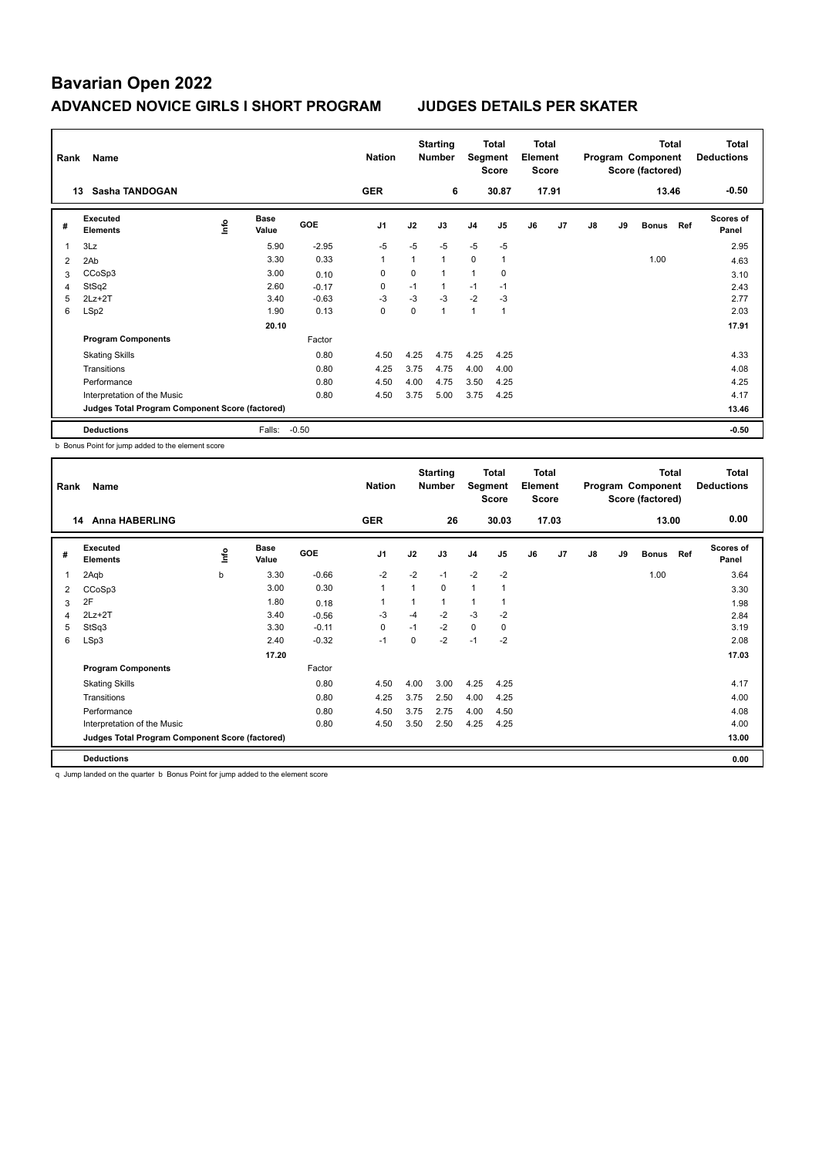| Rank | Name                                            |      |                      |            | <b>Nation</b>  |             | <b>Starting</b><br><b>Number</b> | Segment        | Total<br><b>Score</b> | <b>Total</b><br>Element<br><b>Score</b> |                |    |    | <b>Total</b><br>Program Component<br>Score (factored) |     | <b>Total</b><br><b>Deductions</b> |
|------|-------------------------------------------------|------|----------------------|------------|----------------|-------------|----------------------------------|----------------|-----------------------|-----------------------------------------|----------------|----|----|-------------------------------------------------------|-----|-----------------------------------|
|      | Sasha TANDOGAN<br>13                            |      |                      |            | <b>GER</b>     |             | 6                                |                | 30.87                 |                                         | 17.91          |    |    | 13.46                                                 |     | $-0.50$                           |
| #    | Executed<br><b>Elements</b>                     | lnfo | <b>Base</b><br>Value | <b>GOE</b> | J <sub>1</sub> | J2          | J3                               | J <sub>4</sub> | J <sub>5</sub>        | J6                                      | J <sub>7</sub> | J8 | J9 | <b>Bonus</b>                                          | Ref | Scores of<br>Panel                |
| 1    | 3Lz                                             |      | 5.90                 | $-2.95$    | $-5$           | $-5$        | $-5$                             | $-5$           | $-5$                  |                                         |                |    |    |                                                       |     | 2.95                              |
| 2    | 2Ab                                             |      | 3.30                 | 0.33       | 1              |             | $\mathbf{1}$                     | 0              | $\overline{1}$        |                                         |                |    |    | 1.00                                                  |     | 4.63                              |
| 3    | CCoSp3                                          |      | 3.00                 | 0.10       | 0              | $\mathbf 0$ | $\mathbf{1}$                     | $\mathbf{1}$   | 0                     |                                         |                |    |    |                                                       |     | 3.10                              |
| 4    | StSq2                                           |      | 2.60                 | $-0.17$    | 0              | $-1$        | 1                                | $-1$           | $-1$                  |                                         |                |    |    |                                                       |     | 2.43                              |
| 5    | $2Lz+2T$                                        |      | 3.40                 | $-0.63$    | $-3$           | $-3$        | $-3$                             | $-2$           | $-3$                  |                                         |                |    |    |                                                       |     | 2.77                              |
| 6    | LSp2                                            |      | 1.90                 | 0.13       | $\mathbf 0$    | $\Omega$    | $\mathbf{1}$                     | $\mathbf{1}$   | $\mathbf{1}$          |                                         |                |    |    |                                                       |     | 2.03                              |
|      |                                                 |      | 20.10                |            |                |             |                                  |                |                       |                                         |                |    |    |                                                       |     | 17.91                             |
|      | <b>Program Components</b>                       |      |                      | Factor     |                |             |                                  |                |                       |                                         |                |    |    |                                                       |     |                                   |
|      | <b>Skating Skills</b>                           |      |                      | 0.80       | 4.50           | 4.25        | 4.75                             | 4.25           | 4.25                  |                                         |                |    |    |                                                       |     | 4.33                              |
|      | Transitions                                     |      |                      | 0.80       | 4.25           | 3.75        | 4.75                             | 4.00           | 4.00                  |                                         |                |    |    |                                                       |     | 4.08                              |
|      | Performance                                     |      |                      | 0.80       | 4.50           | 4.00        | 4.75                             | 3.50           | 4.25                  |                                         |                |    |    |                                                       |     | 4.25                              |
|      | Interpretation of the Music                     |      |                      | 0.80       | 4.50           | 3.75        | 5.00                             | 3.75           | 4.25                  |                                         |                |    |    |                                                       |     | 4.17                              |
|      | Judges Total Program Component Score (factored) |      |                      |            |                |             |                                  |                |                       |                                         |                |    |    |                                                       |     | 13.46                             |
|      | <b>Deductions</b>                               |      | Falls:               | $-0.50$    |                |             |                                  |                |                       |                                         |                |    |    |                                                       |     | $-0.50$                           |

b Bonus Point for jump added to the element score

| Rank           | Name                                            |    |                      |            | <b>Nation</b>  |          | <b>Starting</b><br><b>Number</b> | Segment        | Total<br><b>Score</b> | <b>Total</b><br>Element<br><b>Score</b> |       |    |    | <b>Total</b><br>Program Component<br>Score (factored) |     | <b>Total</b><br><b>Deductions</b> |
|----------------|-------------------------------------------------|----|----------------------|------------|----------------|----------|----------------------------------|----------------|-----------------------|-----------------------------------------|-------|----|----|-------------------------------------------------------|-----|-----------------------------------|
|                | <b>Anna HABERLING</b><br>14                     |    |                      |            | <b>GER</b>     |          | 26                               |                | 30.03                 |                                         | 17.03 |    |    | 13.00                                                 |     | 0.00                              |
| #              | Executed<br><b>Elements</b>                     | ١m | <b>Base</b><br>Value | <b>GOE</b> | J <sub>1</sub> | J2       | J3                               | J <sub>4</sub> | J <sub>5</sub>        | J6                                      | J7    | J8 | J9 | <b>Bonus</b>                                          | Ref | <b>Scores of</b><br>Panel         |
| 1              | 2Aqb                                            | b  | 3.30                 | $-0.66$    | $-2$           | $-2$     | $-1$                             | $-2$           | $-2$                  |                                         |       |    |    | 1.00                                                  |     | 3.64                              |
| 2              | CCoSp3                                          |    | 3.00                 | 0.30       | $\mathbf{1}$   | 1        | 0                                | $\mathbf{1}$   | $\mathbf{1}$          |                                         |       |    |    |                                                       |     | 3.30                              |
| 3              | 2F                                              |    | 1.80                 | 0.18       |                |          | $\mathbf{1}$                     | 1              |                       |                                         |       |    |    |                                                       |     | 1.98                              |
| $\overline{4}$ | $2Lz+2T$                                        |    | 3.40                 | $-0.56$    | $-3$           | $-4$     | $-2$                             | $-3$           | $-2$                  |                                         |       |    |    |                                                       |     | 2.84                              |
| 5              | StSq3                                           |    | 3.30                 | $-0.11$    | 0              | $-1$     | $-2$                             | $\mathbf 0$    | 0                     |                                         |       |    |    |                                                       |     | 3.19                              |
| 6              | LSp3                                            |    | 2.40                 | $-0.32$    | $-1$           | $\Omega$ | $-2$                             | $-1$           | $-2$                  |                                         |       |    |    |                                                       |     | 2.08                              |
|                |                                                 |    | 17.20                |            |                |          |                                  |                |                       |                                         |       |    |    |                                                       |     | 17.03                             |
|                | <b>Program Components</b>                       |    |                      | Factor     |                |          |                                  |                |                       |                                         |       |    |    |                                                       |     |                                   |
|                | <b>Skating Skills</b>                           |    |                      | 0.80       | 4.50           | 4.00     | 3.00                             | 4.25           | 4.25                  |                                         |       |    |    |                                                       |     | 4.17                              |
|                | Transitions                                     |    |                      | 0.80       | 4.25           | 3.75     | 2.50                             | 4.00           | 4.25                  |                                         |       |    |    |                                                       |     | 4.00                              |
|                | Performance                                     |    |                      | 0.80       | 4.50           | 3.75     | 2.75                             | 4.00           | 4.50                  |                                         |       |    |    |                                                       |     | 4.08                              |
|                | Interpretation of the Music                     |    |                      | 0.80       | 4.50           | 3.50     | 2.50                             | 4.25           | 4.25                  |                                         |       |    |    |                                                       |     | 4.00                              |
|                | Judges Total Program Component Score (factored) |    |                      |            |                |          |                                  |                |                       |                                         |       |    |    |                                                       |     | 13.00                             |
|                | <b>Deductions</b>                               |    |                      |            |                |          |                                  |                |                       |                                         |       |    |    |                                                       |     | 0.00                              |

q Jump landed on the quarter b Bonus Point for jump added to the element score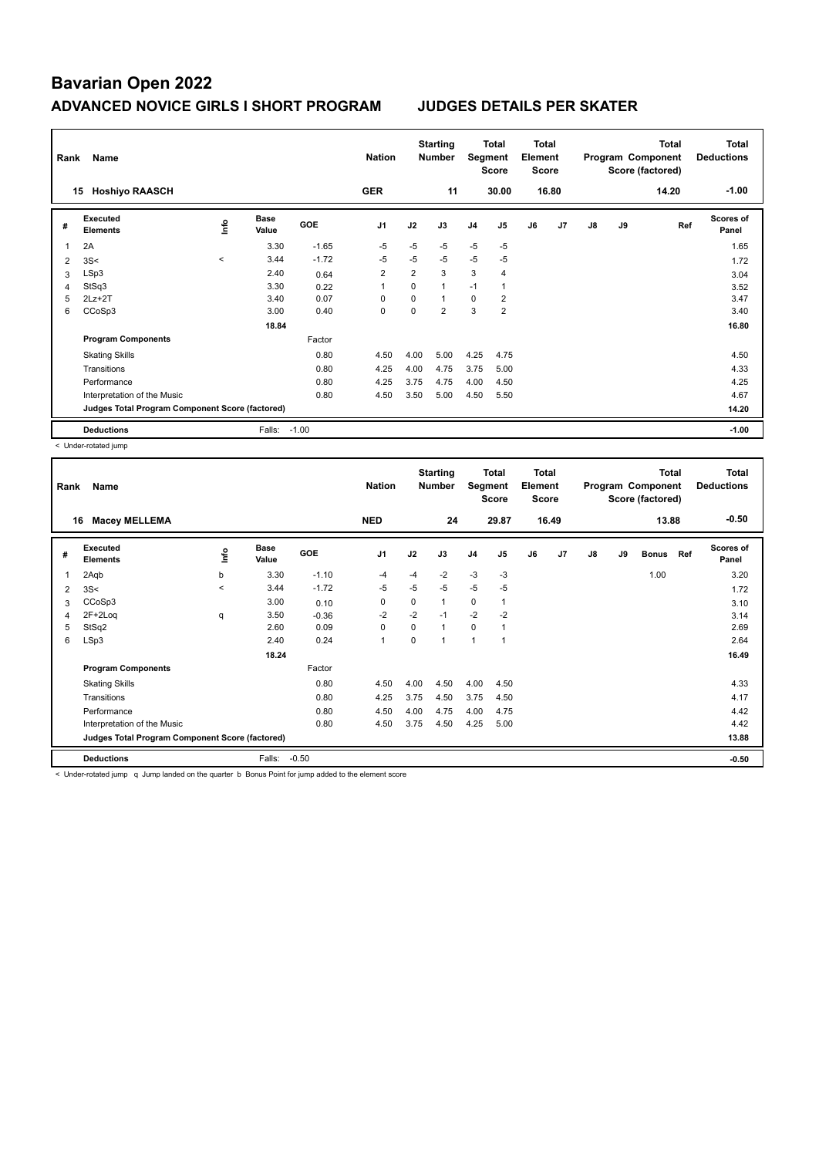| Rank           | Name                                            |              |                      |            | <b>Nation</b>  |             | <b>Starting</b><br><b>Number</b> | Segment        | Total<br>Score | <b>Total</b><br>Element<br><b>Score</b> |       |    |    | <b>Total</b><br>Program Component<br>Score (factored) | <b>Total</b><br><b>Deductions</b> |
|----------------|-------------------------------------------------|--------------|----------------------|------------|----------------|-------------|----------------------------------|----------------|----------------|-----------------------------------------|-------|----|----|-------------------------------------------------------|-----------------------------------|
|                | <b>Hoshiyo RAASCH</b><br>15                     |              |                      |            | <b>GER</b>     |             | 11                               |                | 30.00          |                                         | 16.80 |    |    | 14.20                                                 | $-1.00$                           |
| #              | Executed<br><b>Elements</b>                     | lnfo         | <b>Base</b><br>Value | <b>GOE</b> | J <sub>1</sub> | J2          | J3                               | J <sub>4</sub> | J5             | J6                                      | J7    | J8 | J9 | Ref                                                   | <b>Scores of</b><br>Panel         |
| 1              | 2A                                              |              | 3.30                 | $-1.65$    | $-5$           | $-5$        | $-5$                             | $-5$           | $-5$           |                                         |       |    |    |                                                       | 1.65                              |
| $\overline{2}$ | 3S<                                             | $\checkmark$ | 3.44                 | $-1.72$    | $-5$           | $-5$        | $-5$                             | $-5$           | -5             |                                         |       |    |    |                                                       | 1.72                              |
| 3              | LSp3                                            |              | 2.40                 | 0.64       | $\overline{2}$ | 2           | 3                                | 3              | $\overline{4}$ |                                         |       |    |    |                                                       | 3.04                              |
| 4              | StSq3                                           |              | 3.30                 | 0.22       | 1              | 0           | $\mathbf{1}$                     | $-1$           | $\mathbf{1}$   |                                         |       |    |    |                                                       | 3.52                              |
| 5              | $2Lz+2T$                                        |              | 3.40                 | 0.07       | $\Omega$       | $\mathbf 0$ | $\mathbf{1}$                     | 0              | $\overline{2}$ |                                         |       |    |    |                                                       | 3.47                              |
| 6              | CCoSp3                                          |              | 3.00                 | 0.40       | 0              | $\Omega$    | $\overline{2}$                   | 3              | $\overline{2}$ |                                         |       |    |    |                                                       | 3.40                              |
|                |                                                 |              | 18.84                |            |                |             |                                  |                |                |                                         |       |    |    |                                                       | 16.80                             |
|                | <b>Program Components</b>                       |              |                      | Factor     |                |             |                                  |                |                |                                         |       |    |    |                                                       |                                   |
|                | <b>Skating Skills</b>                           |              |                      | 0.80       | 4.50           | 4.00        | 5.00                             | 4.25           | 4.75           |                                         |       |    |    |                                                       | 4.50                              |
|                | Transitions                                     |              |                      | 0.80       | 4.25           | 4.00        | 4.75                             | 3.75           | 5.00           |                                         |       |    |    |                                                       | 4.33                              |
|                | Performance                                     |              |                      | 0.80       | 4.25           | 3.75        | 4.75                             | 4.00           | 4.50           |                                         |       |    |    |                                                       | 4.25                              |
|                | Interpretation of the Music                     |              |                      | 0.80       | 4.50           | 3.50        | 5.00                             | 4.50           | 5.50           |                                         |       |    |    |                                                       | 4.67                              |
|                | Judges Total Program Component Score (factored) |              |                      |            |                |             |                                  |                |                |                                         |       |    |    |                                                       | 14.20                             |
|                | <b>Deductions</b>                               |              | Falls:               | $-1.00$    |                |             |                                  |                |                |                                         |       |    |    |                                                       | $-1.00$                           |

< Under-rotated jump

| Rank | Name                                            |         |                      |            | <b>Nation</b>  |          | <b>Starting</b><br><b>Number</b> | Segment        | <b>Total</b><br><b>Score</b> | Total<br>Element<br><b>Score</b> |                |    |    | <b>Total</b><br>Program Component<br>Score (factored) |     | <b>Total</b><br><b>Deductions</b> |
|------|-------------------------------------------------|---------|----------------------|------------|----------------|----------|----------------------------------|----------------|------------------------------|----------------------------------|----------------|----|----|-------------------------------------------------------|-----|-----------------------------------|
|      | <b>Macey MELLEMA</b><br>16                      |         |                      |            | <b>NED</b>     |          | 24                               |                | 29.87                        |                                  | 16.49          |    |    | 13.88                                                 |     | $-0.50$                           |
| #    | Executed<br><b>Elements</b>                     | lnfo    | <b>Base</b><br>Value | <b>GOE</b> | J <sub>1</sub> | J2       | J3                               | J4             | J5                           | J6                               | J <sub>7</sub> | J8 | J9 | <b>Bonus</b>                                          | Ref | <b>Scores of</b><br>Panel         |
| 1    | 2Aqb                                            | b       | 3.30                 | $-1.10$    | -4             | $-4$     | $-2$                             | $-3$           | $-3$                         |                                  |                |    |    | 1.00                                                  |     | 3.20                              |
| 2    | 3S<                                             | $\prec$ | 3.44                 | $-1.72$    | -5             | $-5$     | $-5$                             | $-5$           | $-5$                         |                                  |                |    |    |                                                       |     | 1.72                              |
| 3    | CCoSp3                                          |         | 3.00                 | 0.10       | 0              | $\Omega$ | 1                                | $\mathbf 0$    | 1                            |                                  |                |    |    |                                                       |     | 3.10                              |
| 4    | 2F+2Log                                         | q       | 3.50                 | $-0.36$    | $-2$           | $-2$     | $-1$                             | $-2$           | $-2$                         |                                  |                |    |    |                                                       |     | 3.14                              |
| 5    | StSq2                                           |         | 2.60                 | 0.09       | 0              | $\Omega$ | $\mathbf{1}$                     | $\Omega$       | $\mathbf{1}$                 |                                  |                |    |    |                                                       |     | 2.69                              |
| 6    | LSp3                                            |         | 2.40                 | 0.24       | $\mathbf{1}$   | $\Omega$ | 1                                | $\overline{1}$ | $\overline{1}$               |                                  |                |    |    |                                                       |     | 2.64                              |
|      |                                                 |         | 18.24                |            |                |          |                                  |                |                              |                                  |                |    |    |                                                       |     | 16.49                             |
|      | <b>Program Components</b>                       |         |                      | Factor     |                |          |                                  |                |                              |                                  |                |    |    |                                                       |     |                                   |
|      | <b>Skating Skills</b>                           |         |                      | 0.80       | 4.50           | 4.00     | 4.50                             | 4.00           | 4.50                         |                                  |                |    |    |                                                       |     | 4.33                              |
|      | Transitions                                     |         |                      | 0.80       | 4.25           | 3.75     | 4.50                             | 3.75           | 4.50                         |                                  |                |    |    |                                                       |     | 4.17                              |
|      | Performance                                     |         |                      | 0.80       | 4.50           | 4.00     | 4.75                             | 4.00           | 4.75                         |                                  |                |    |    |                                                       |     | 4.42                              |
|      | Interpretation of the Music                     |         |                      | 0.80       | 4.50           | 3.75     | 4.50                             | 4.25           | 5.00                         |                                  |                |    |    |                                                       |     | 4.42                              |
|      | Judges Total Program Component Score (factored) |         |                      |            |                |          |                                  |                |                              |                                  |                |    |    |                                                       |     | 13.88                             |
|      | <b>Deductions</b>                               |         | Falls:               | $-0.50$    |                |          |                                  |                |                              |                                  |                |    |    |                                                       |     | $-0.50$                           |

< Under-rotated jump q Jump landed on the quarter b Bonus Point for jump added to the element score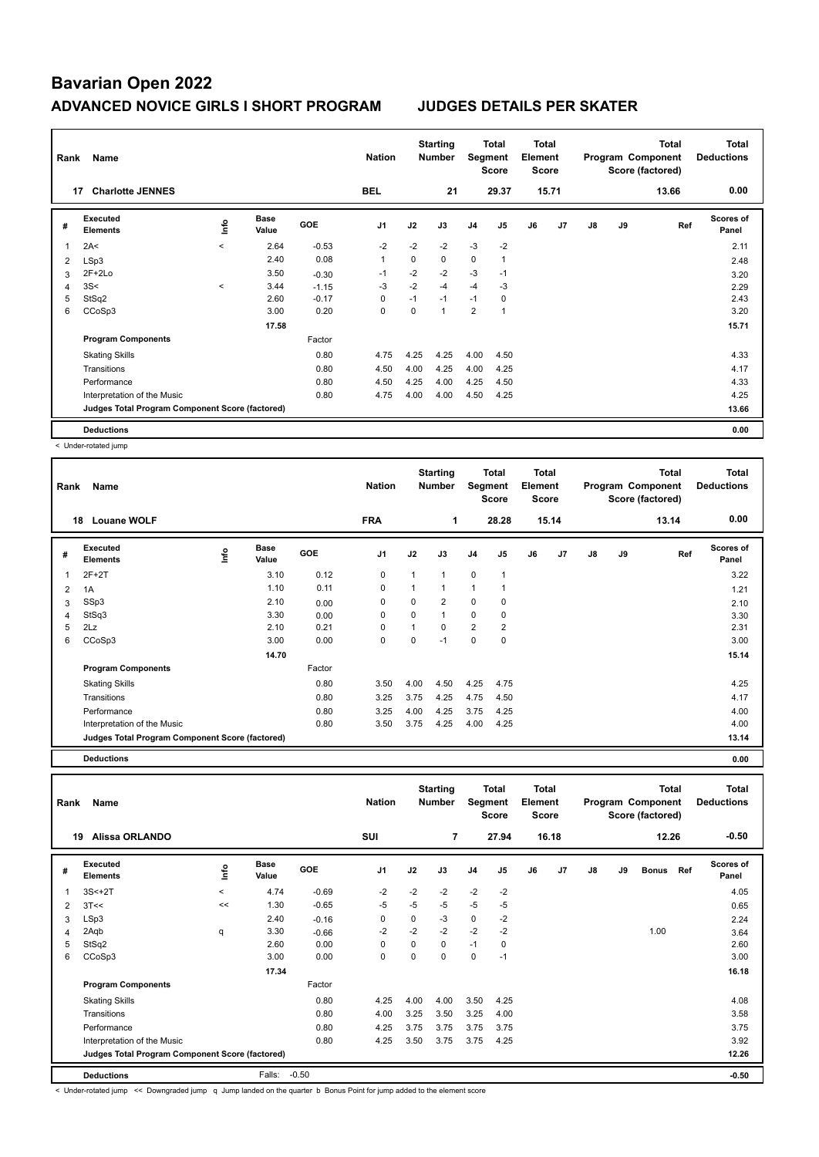| Rank           | Name                                            |         |                      |            | <b>Nation</b>  |          | <b>Starting</b><br><b>Number</b> | Segment        | Total<br><b>Score</b> | <b>Total</b><br>Element<br><b>Score</b> |       |    |    | <b>Total</b><br>Program Component<br>Score (factored) | <b>Total</b><br><b>Deductions</b> |
|----------------|-------------------------------------------------|---------|----------------------|------------|----------------|----------|----------------------------------|----------------|-----------------------|-----------------------------------------|-------|----|----|-------------------------------------------------------|-----------------------------------|
|                | <b>Charlotte JENNES</b><br>17                   |         |                      |            | <b>BEL</b>     |          | 21                               |                | 29.37                 |                                         | 15.71 |    |    | 13.66                                                 | 0.00                              |
| #              | <b>Executed</b><br><b>Elements</b>              | ۴ů      | <b>Base</b><br>Value | <b>GOE</b> | J <sub>1</sub> | J2       | J3                               | J <sub>4</sub> | J5                    | J6                                      | J7    | J8 | J9 | Ref                                                   | <b>Scores of</b><br>Panel         |
| 1              | 2A<                                             | $\prec$ | 2.64                 | $-0.53$    | $-2$           | $-2$     | $-2$                             | $-3$           | $-2$                  |                                         |       |    |    |                                                       | 2.11                              |
| $\overline{2}$ | LSp3                                            |         | 2.40                 | 0.08       | $\overline{1}$ | 0        | 0                                | $\mathbf 0$    |                       |                                         |       |    |    |                                                       | 2.48                              |
| 3              | $2F+2Lo$                                        |         | 3.50                 | $-0.30$    | $-1$           | $-2$     | $-2$                             | $-3$           | $-1$                  |                                         |       |    |    |                                                       | 3.20                              |
| 4              | 3S<                                             | $\prec$ | 3.44                 | $-1.15$    | -3             | $-2$     | $-4$                             | $-4$           | $-3$                  |                                         |       |    |    |                                                       | 2.29                              |
| 5              | StSq2                                           |         | 2.60                 | $-0.17$    | 0              | $-1$     | $-1$                             | $-1$           | 0                     |                                         |       |    |    |                                                       | 2.43                              |
| 6              | CCoSp3                                          |         | 3.00                 | 0.20       | 0              | $\Omega$ | 1                                | $\overline{2}$ | 1                     |                                         |       |    |    |                                                       | 3.20                              |
|                |                                                 |         | 17.58                |            |                |          |                                  |                |                       |                                         |       |    |    |                                                       | 15.71                             |
|                | <b>Program Components</b>                       |         |                      | Factor     |                |          |                                  |                |                       |                                         |       |    |    |                                                       |                                   |
|                | <b>Skating Skills</b>                           |         |                      | 0.80       | 4.75           | 4.25     | 4.25                             | 4.00           | 4.50                  |                                         |       |    |    |                                                       | 4.33                              |
|                | Transitions                                     |         |                      | 0.80       | 4.50           | 4.00     | 4.25                             | 4.00           | 4.25                  |                                         |       |    |    |                                                       | 4.17                              |
|                | Performance                                     |         |                      | 0.80       | 4.50           | 4.25     | 4.00                             | 4.25           | 4.50                  |                                         |       |    |    |                                                       | 4.33                              |
|                | Interpretation of the Music                     |         |                      | 0.80       | 4.75           | 4.00     | 4.00                             | 4.50           | 4.25                  |                                         |       |    |    |                                                       | 4.25                              |
|                | Judges Total Program Component Score (factored) |         |                      |            |                |          |                                  |                |                       |                                         |       |    |    |                                                       | 13.66                             |
|                | <b>Deductions</b>                               |         |                      |            |                |          |                                  |                |                       |                                         |       |    |    |                                                       | 0.00                              |

< Under-rotated jump

| Rank | Name                                            |      |                      |            | <b>Nation</b>  |          | <b>Starting</b><br><b>Number</b> | Segment        | Total<br><b>Score</b> | <b>Total</b><br>Element<br><b>Score</b> |       |    |    | <b>Total</b><br>Program Component<br>Score (factored) | <b>Total</b><br><b>Deductions</b> |
|------|-------------------------------------------------|------|----------------------|------------|----------------|----------|----------------------------------|----------------|-----------------------|-----------------------------------------|-------|----|----|-------------------------------------------------------|-----------------------------------|
|      | <b>Louane WOLF</b><br>18                        |      |                      |            | <b>FRA</b>     |          | 1                                |                | 28.28                 |                                         | 15.14 |    |    | 13.14                                                 | 0.00                              |
| #    | <b>Executed</b><br><b>Elements</b>              | ١mfo | <b>Base</b><br>Value | <b>GOE</b> | J <sub>1</sub> | J2       | J3                               | J <sub>4</sub> | J <sub>5</sub>        | J6                                      | J7    | J8 | J9 | Ref                                                   | Scores of<br>Panel                |
| 1    | $2F+2T$                                         |      | 3.10                 | 0.12       | 0              | 1        | $\mathbf{1}$                     | $\mathbf 0$    | $\mathbf{1}$          |                                         |       |    |    |                                                       | 3.22                              |
| 2    | 1A                                              |      | 1.10                 | 0.11       | 0              | 1        | $\mathbf{1}$                     | $\overline{1}$ |                       |                                         |       |    |    |                                                       | 1.21                              |
| 3    | SSp3                                            |      | 2.10                 | 0.00       | $\Omega$       | $\Omega$ | 2                                | $\mathbf 0$    | 0                     |                                         |       |    |    |                                                       | 2.10                              |
| 4    | StSq3                                           |      | 3.30                 | 0.00       | 0              | $\Omega$ | $\mathbf{1}$                     | $\mathbf 0$    | 0                     |                                         |       |    |    |                                                       | 3.30                              |
| 5    | 2Lz                                             |      | 2.10                 | 0.21       | $\mathbf 0$    |          | 0                                | $\overline{2}$ | 2                     |                                         |       |    |    |                                                       | 2.31                              |
| 6    | CCoSp3                                          |      | 3.00                 | 0.00       | 0              | 0        | $-1$                             | $\mathbf 0$    | 0                     |                                         |       |    |    |                                                       | 3.00                              |
|      |                                                 |      | 14.70                |            |                |          |                                  |                |                       |                                         |       |    |    |                                                       | 15.14                             |
|      | <b>Program Components</b>                       |      |                      | Factor     |                |          |                                  |                |                       |                                         |       |    |    |                                                       |                                   |
|      | <b>Skating Skills</b>                           |      |                      | 0.80       | 3.50           | 4.00     | 4.50                             | 4.25           | 4.75                  |                                         |       |    |    |                                                       | 4.25                              |
|      | Transitions                                     |      |                      | 0.80       | 3.25           | 3.75     | 4.25                             | 4.75           | 4.50                  |                                         |       |    |    |                                                       | 4.17                              |
|      | Performance                                     |      |                      | 0.80       | 3.25           | 4.00     | 4.25                             | 3.75           | 4.25                  |                                         |       |    |    |                                                       | 4.00                              |
|      | Interpretation of the Music                     |      |                      | 0.80       | 3.50           | 3.75     | 4.25                             | 4.00           | 4.25                  |                                         |       |    |    |                                                       | 4.00                              |
|      | Judges Total Program Component Score (factored) |      |                      |            |                |          |                                  |                |                       |                                         |       |    |    |                                                       | 13.14                             |

**Deductions 0.00**

**Total Deductions Total Program Component Score (factored) Total Element Score Total Segment Score Starting Rank Name Nation Number # Executed Elements Base Value GOE J1 J2 J3 J4 J5 J6 J7 J8 J9 Scores of Panel** 1 3S<+2T < 4.74 -0.69 -2 -2 -2 -2 -2 **Ref Bonus** 3S<+2T < 4.05 **Info 19 Alissa ORLANDO SUI 7 27.94 16.18 12.26 -0.50** 2 3T<< << 1.30 -0.65 -5 -5 -5 -5 -5 0.65 3 LSp3 2.40 -0.16 0 0 -3 0 -2 2.24 4 2Aqb q 3.30 -0.66 -2 -2 -2 -2 -2 1.00 3.64 5 StSq2 2.60 0.00 0 0 0 -1 0 2.60 6 CCoSp3 3.00 0.00 0 0 0 0 -1 3.00  **17.34 16.18 Program Components**  Skating Skills 4.25 4.00 4.00 3.50 4.25 Factor 0.80 4.08 Transitions 0.80 4.00 3.25 3.50 3.25 4.00 3.58 Performance 0.80 4.25 3.75 3.75 3.75 3.75 3.75 Interpretation of the Music 0.80 4.25 3.50 3.75 3.75 4.25 3.92 **Deductions** Falls: -0.50 **-0.50 Judges Total Program Component Score (factored) 12.26**

< Under-rotated jump << Downgraded jump q Jump landed on the quarter b Bonus Point for jump added to the element score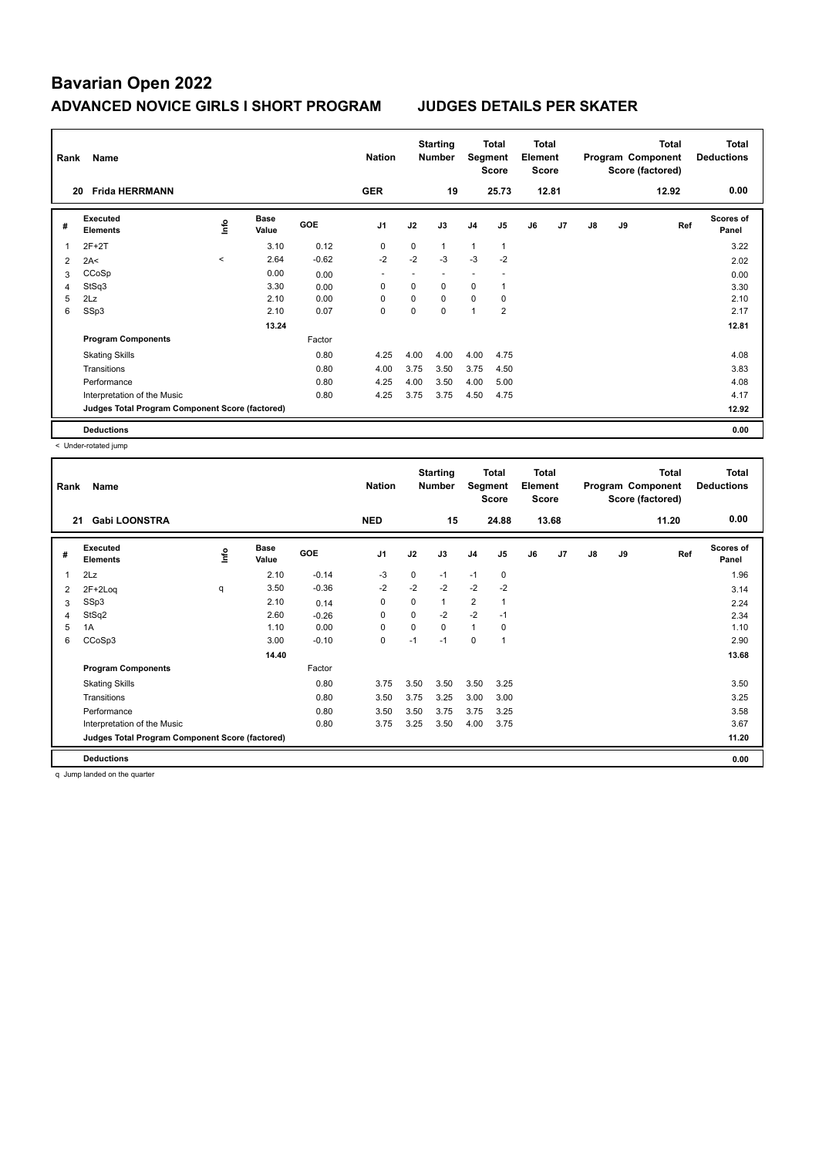| Rank | Name                                            |                          |                      |            | <b>Nation</b>  |          | <b>Starting</b><br><b>Number</b> | Segment        | Total<br><b>Score</b> | <b>Total</b><br>Element<br><b>Score</b> |       |    |    | <b>Total</b><br>Program Component<br>Score (factored) | <b>Total</b><br><b>Deductions</b> |
|------|-------------------------------------------------|--------------------------|----------------------|------------|----------------|----------|----------------------------------|----------------|-----------------------|-----------------------------------------|-------|----|----|-------------------------------------------------------|-----------------------------------|
|      | <b>Frida HERRMANN</b><br>20                     |                          |                      |            | <b>GER</b>     |          | 19                               |                | 25.73                 |                                         | 12.81 |    |    | 12.92                                                 | 0.00                              |
| #    | <b>Executed</b><br><b>Elements</b>              | ١nfo                     | <b>Base</b><br>Value | <b>GOE</b> | J <sub>1</sub> | J2       | J3                               | J <sub>4</sub> | J5                    | J6                                      | J7    | J8 | J9 | Ref                                                   | <b>Scores of</b><br>Panel         |
| 1    | $2F+2T$                                         |                          | 3.10                 | 0.12       | 0              | 0        | 1                                | 1              | $\mathbf{1}$          |                                         |       |    |    |                                                       | 3.22                              |
| 2    | 2A<                                             | $\overline{\phantom{a}}$ | 2.64                 | $-0.62$    | $-2$           | $-2$     | $-3$                             | $-3$           | $-2$                  |                                         |       |    |    |                                                       | 2.02                              |
| 3    | CCoSp                                           |                          | 0.00                 | 0.00       | ٠              |          |                                  |                |                       |                                         |       |    |    |                                                       | 0.00                              |
| 4    | StSq3                                           |                          | 3.30                 | 0.00       | 0              | 0        | 0                                | 0              |                       |                                         |       |    |    |                                                       | 3.30                              |
| 5    | 2Lz                                             |                          | 2.10                 | 0.00       | $\Omega$       | 0        | $\Omega$                         | 0              | 0                     |                                         |       |    |    |                                                       | 2.10                              |
| 6    | SSp3                                            |                          | 2.10                 | 0.07       | 0              | $\Omega$ | $\Omega$                         | $\overline{1}$ | $\overline{2}$        |                                         |       |    |    |                                                       | 2.17                              |
|      |                                                 |                          | 13.24                |            |                |          |                                  |                |                       |                                         |       |    |    |                                                       | 12.81                             |
|      | <b>Program Components</b>                       |                          |                      | Factor     |                |          |                                  |                |                       |                                         |       |    |    |                                                       |                                   |
|      | <b>Skating Skills</b>                           |                          |                      | 0.80       | 4.25           | 4.00     | 4.00                             | 4.00           | 4.75                  |                                         |       |    |    |                                                       | 4.08                              |
|      | Transitions                                     |                          |                      | 0.80       | 4.00           | 3.75     | 3.50                             | 3.75           | 4.50                  |                                         |       |    |    |                                                       | 3.83                              |
|      | Performance                                     |                          |                      | 0.80       | 4.25           | 4.00     | 3.50                             | 4.00           | 5.00                  |                                         |       |    |    |                                                       | 4.08                              |
|      | Interpretation of the Music                     |                          |                      | 0.80       | 4.25           | 3.75     | 3.75                             | 4.50           | 4.75                  |                                         |       |    |    |                                                       | 4.17                              |
|      | Judges Total Program Component Score (factored) |                          |                      |            |                |          |                                  |                |                       |                                         |       |    |    |                                                       | 12.92                             |
|      | <b>Deductions</b>                               |                          |                      |            |                |          |                                  |                |                       |                                         |       |    |    |                                                       | 0.00                              |

< Under-rotated jump

| Rank           | Name                                            |    |                      |            | <b>Nation</b>  |      | <b>Starting</b><br><b>Number</b> | Segment        | <b>Total</b><br>Score | Total<br>Element<br><b>Score</b> |       |               |    | <b>Total</b><br>Program Component<br>Score (factored) | Total<br><b>Deductions</b> |
|----------------|-------------------------------------------------|----|----------------------|------------|----------------|------|----------------------------------|----------------|-----------------------|----------------------------------|-------|---------------|----|-------------------------------------------------------|----------------------------|
| 21             | <b>Gabi LOONSTRA</b>                            |    |                      |            | <b>NED</b>     |      | 15                               |                | 24.88                 |                                  | 13.68 |               |    | 11.20                                                 | 0.00                       |
| #              | Executed<br><b>Elements</b>                     | ١m | <b>Base</b><br>Value | <b>GOE</b> | J <sub>1</sub> | J2   | J3                               | J <sub>4</sub> | J <sub>5</sub>        | J6                               | J7    | $\mathsf{J}8$ | J9 | Ref                                                   | <b>Scores of</b><br>Panel  |
| 1              | 2Lz                                             |    | 2.10                 | $-0.14$    | -3             | 0    | $-1$                             | $-1$           | 0                     |                                  |       |               |    |                                                       | 1.96                       |
| 2              | $2F+2Log$                                       | q  | 3.50                 | $-0.36$    | $-2$           | $-2$ | $-2$                             | $-2$           | $-2$                  |                                  |       |               |    |                                                       | 3.14                       |
| 3              | SSp3                                            |    | 2.10                 | 0.14       | 0              | 0    | $\mathbf{1}$                     | $\overline{2}$ | 1                     |                                  |       |               |    |                                                       | 2.24                       |
| $\overline{4}$ | StSq2                                           |    | 2.60                 | $-0.26$    | 0              | 0    | $-2$                             | $-2$           | $-1$                  |                                  |       |               |    |                                                       | 2.34                       |
| 5              | 1A                                              |    | 1.10                 | 0.00       | 0              | 0    | $\Omega$                         | 1              | 0                     |                                  |       |               |    |                                                       | 1.10                       |
| 6              | CCoSp3                                          |    | 3.00                 | $-0.10$    | 0              | $-1$ | $-1$                             | 0              | $\overline{1}$        |                                  |       |               |    |                                                       | 2.90                       |
|                |                                                 |    | 14.40                |            |                |      |                                  |                |                       |                                  |       |               |    |                                                       | 13.68                      |
|                | <b>Program Components</b>                       |    |                      | Factor     |                |      |                                  |                |                       |                                  |       |               |    |                                                       |                            |
|                | <b>Skating Skills</b>                           |    |                      | 0.80       | 3.75           | 3.50 | 3.50                             | 3.50           | 3.25                  |                                  |       |               |    |                                                       | 3.50                       |
|                | Transitions                                     |    |                      | 0.80       | 3.50           | 3.75 | 3.25                             | 3.00           | 3.00                  |                                  |       |               |    |                                                       | 3.25                       |
|                | Performance                                     |    |                      | 0.80       | 3.50           | 3.50 | 3.75                             | 3.75           | 3.25                  |                                  |       |               |    |                                                       | 3.58                       |
|                | Interpretation of the Music                     |    |                      | 0.80       | 3.75           | 3.25 | 3.50                             | 4.00           | 3.75                  |                                  |       |               |    |                                                       | 3.67                       |
|                | Judges Total Program Component Score (factored) |    |                      |            |                |      |                                  |                |                       |                                  |       |               |    |                                                       | 11.20                      |
|                | <b>Deductions</b>                               |    |                      |            |                |      |                                  |                |                       |                                  |       |               |    |                                                       | 0.00                       |

q Jump landed on the quarter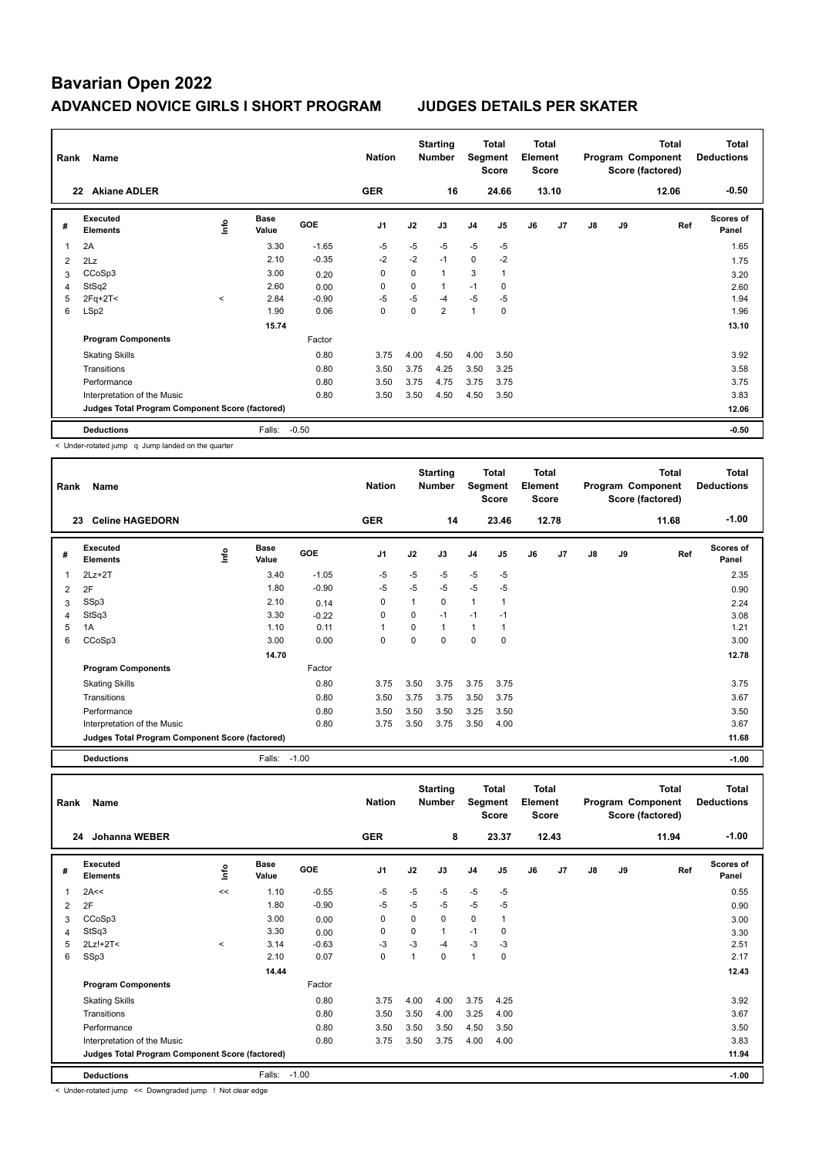| Rank           | Name                                            |                          |                      |            | <b>Nation</b>  |      | <b>Starting</b><br><b>Number</b> | Segment        | Total<br>Score | <b>Total</b><br>Element<br><b>Score</b> |       |    |    | <b>Total</b><br>Program Component<br>Score (factored) | <b>Total</b><br><b>Deductions</b> |
|----------------|-------------------------------------------------|--------------------------|----------------------|------------|----------------|------|----------------------------------|----------------|----------------|-----------------------------------------|-------|----|----|-------------------------------------------------------|-----------------------------------|
|                | <b>Akiane ADLER</b><br>22                       |                          |                      |            | <b>GER</b>     |      | 16                               |                | 24.66          |                                         | 13.10 |    |    | 12.06                                                 | $-0.50$                           |
| #              | Executed<br><b>Elements</b>                     | lnfo                     | <b>Base</b><br>Value | <b>GOE</b> | J <sub>1</sub> | J2   | J3                               | J <sub>4</sub> | J <sub>5</sub> | J6                                      | J7    | J8 | J9 | Ref                                                   | <b>Scores of</b><br>Panel         |
| 1              | 2A                                              |                          | 3.30                 | $-1.65$    | $-5$           | $-5$ | $-5$                             | $-5$           | $-5$           |                                         |       |    |    |                                                       | 1.65                              |
| $\overline{2}$ | 2Lz                                             |                          | 2.10                 | $-0.35$    | $-2$           | $-2$ | $-1$                             | $\mathbf 0$    | $-2$           |                                         |       |    |    |                                                       | 1.75                              |
| 3              | CCoSp3                                          |                          | 3.00                 | 0.20       | 0              | 0    | $\mathbf{1}$                     | 3              | $\mathbf{1}$   |                                         |       |    |    |                                                       | 3.20                              |
| 4              | StSq2                                           |                          | 2.60                 | 0.00       | 0              | 0    | 1                                | $-1$           | 0              |                                         |       |    |    |                                                       | 2.60                              |
| 5              | $2Fq+2T<$                                       | $\overline{\phantom{a}}$ | 2.84                 | $-0.90$    | $-5$           | $-5$ | -4                               | $-5$           | $-5$           |                                         |       |    |    |                                                       | 1.94                              |
| 6              | LSp2                                            |                          | 1.90                 | 0.06       | 0              | 0    | $\overline{2}$                   | 1              | 0              |                                         |       |    |    |                                                       | 1.96                              |
|                |                                                 |                          | 15.74                |            |                |      |                                  |                |                |                                         |       |    |    |                                                       | 13.10                             |
|                | <b>Program Components</b>                       |                          |                      | Factor     |                |      |                                  |                |                |                                         |       |    |    |                                                       |                                   |
|                | <b>Skating Skills</b>                           |                          |                      | 0.80       | 3.75           | 4.00 | 4.50                             | 4.00           | 3.50           |                                         |       |    |    |                                                       | 3.92                              |
|                | Transitions                                     |                          |                      | 0.80       | 3.50           | 3.75 | 4.25                             | 3.50           | 3.25           |                                         |       |    |    |                                                       | 3.58                              |
|                | Performance                                     |                          |                      | 0.80       | 3.50           | 3.75 | 4.75                             | 3.75           | 3.75           |                                         |       |    |    |                                                       | 3.75                              |
|                | Interpretation of the Music                     |                          |                      | 0.80       | 3.50           | 3.50 | 4.50                             | 4.50           | 3.50           |                                         |       |    |    |                                                       | 3.83                              |
|                | Judges Total Program Component Score (factored) |                          |                      |            |                |      |                                  |                |                |                                         |       |    |    |                                                       | 12.06                             |
|                | <b>Deductions</b>                               |                          | Falls:               | $-0.50$    |                |      |                                  |                |                |                                         |       |    |    |                                                       | $-0.50$                           |

< Under-rotated jump q Jump landed on the quarter

| Rank           | Name                                            |      |                      |         | <b>Nation</b>  |          | <b>Starting</b><br>Number | Segment        | Total<br><b>Score</b> | <b>Total</b><br>Element<br><b>Score</b> |       |    |    | Total<br>Program Component<br>Score (factored) | <b>Total</b><br><b>Deductions</b> |
|----------------|-------------------------------------------------|------|----------------------|---------|----------------|----------|---------------------------|----------------|-----------------------|-----------------------------------------|-------|----|----|------------------------------------------------|-----------------------------------|
|                | <b>Celine HAGEDORN</b><br>23                    |      |                      |         | <b>GER</b>     |          | 14                        |                | 23.46                 |                                         | 12.78 |    |    | 11.68                                          | $-1.00$                           |
| #              | <b>Executed</b><br><b>Elements</b>              | ١mfo | <b>Base</b><br>Value | GOE     | J <sub>1</sub> | J2       | J3                        | J4             | J5                    | J6                                      | J7    | J8 | J9 | Ref                                            | Scores of<br>Panel                |
| 1              | $2Lz+2T$                                        |      | 3.40                 | $-1.05$ | -5             | $-5$     | $-5$                      | $-5$           | $-5$                  |                                         |       |    |    |                                                | 2.35                              |
| $\overline{2}$ | 2F                                              |      | 1.80                 | $-0.90$ | -5             | $-5$     | $-5$                      | $-5$           | $-5$                  |                                         |       |    |    |                                                | 0.90                              |
| 3              | SSp3                                            |      | 2.10                 | 0.14    | 0              |          | 0                         | $\overline{1}$ |                       |                                         |       |    |    |                                                | 2.24                              |
| 4              | StSq3                                           |      | 3.30                 | $-0.22$ | 0              | 0        | $-1$                      | $-1$           | $-1$                  |                                         |       |    |    |                                                | 3.08                              |
| 5              | 1A                                              |      | 1.10                 | 0.11    | $\mathbf{1}$   | 0        | 1                         | $\mathbf{1}$   |                       |                                         |       |    |    |                                                | 1.21                              |
| 6              | CCoSp3                                          |      | 3.00                 | 0.00    | 0              | $\Omega$ | 0                         | 0              | 0                     |                                         |       |    |    |                                                | 3.00                              |
|                |                                                 |      | 14.70                |         |                |          |                           |                |                       |                                         |       |    |    |                                                | 12.78                             |
|                | <b>Program Components</b>                       |      |                      | Factor  |                |          |                           |                |                       |                                         |       |    |    |                                                |                                   |
|                | <b>Skating Skills</b>                           |      |                      | 0.80    | 3.75           | 3.50     | 3.75                      | 3.75           | 3.75                  |                                         |       |    |    |                                                | 3.75                              |
|                | Transitions                                     |      |                      | 0.80    | 3.50           | 3.75     | 3.75                      | 3.50           | 3.75                  |                                         |       |    |    |                                                | 3.67                              |
|                | Performance                                     |      |                      | 0.80    | 3.50           | 3.50     | 3.50                      | 3.25           | 3.50                  |                                         |       |    |    |                                                | 3.50                              |
|                | Interpretation of the Music                     |      |                      | 0.80    | 3.75           | 3.50     | 3.75                      | 3.50           | 4.00                  |                                         |       |    |    |                                                | 3.67                              |
|                | Judges Total Program Component Score (factored) |      |                      |         |                |          |                           |                |                       |                                         |       |    |    |                                                | 11.68                             |

**Deductions** Falls: -1.00 **-1.00**

| Rank | Name                                            |         |                      |         | <b>Nation</b> |             | <b>Starting</b><br><b>Number</b> | Segment        | <b>Total</b><br><b>Score</b> | Total<br>Element<br><b>Score</b> |                |    |    | <b>Total</b><br>Program Component<br>Score (factored) | <b>Total</b><br><b>Deductions</b> |
|------|-------------------------------------------------|---------|----------------------|---------|---------------|-------------|----------------------------------|----------------|------------------------------|----------------------------------|----------------|----|----|-------------------------------------------------------|-----------------------------------|
|      | <b>Johanna WEBER</b><br>24                      |         |                      |         | <b>GER</b>    |             | 8                                |                | 23.37                        |                                  | 12.43          |    |    | 11.94                                                 | $-1.00$                           |
| #    | Executed<br><b>Elements</b>                     | ١nfo    | <b>Base</b><br>Value | GOE     | J1            | J2          | J3                               | J <sub>4</sub> | J <sub>5</sub>               | J6                               | J <sub>7</sub> | J8 | J9 | Ref                                                   | <b>Scores of</b><br>Panel         |
| 1    | 2A<<                                            | <<      | 1.10                 | $-0.55$ | $-5$          | $-5$        | $-5$                             | $-5$           | $-5$                         |                                  |                |    |    |                                                       | 0.55                              |
| 2    | 2F                                              |         | 1.80                 | $-0.90$ | $-5$          | $-5$        | $-5$                             | $-5$           | $-5$                         |                                  |                |    |    |                                                       | 0.90                              |
| 3    | CCoSp3                                          |         | 3.00                 | 0.00    | $\Omega$      | $\Omega$    | $\Omega$                         | $\mathbf 0$    | 1                            |                                  |                |    |    |                                                       | 3.00                              |
| 4    | StSq3                                           |         | 3.30                 | 0.00    | 0             | $\mathbf 0$ | $\mathbf 1$                      | $-1$           | $\mathbf 0$                  |                                  |                |    |    |                                                       | 3.30                              |
| 5    | $2Lz!+2T<$                                      | $\prec$ | 3.14                 | $-0.63$ | -3            | $-3$        | $-4$                             | -3             | $-3$                         |                                  |                |    |    |                                                       | 2.51                              |
| 6    | SSp3                                            |         | 2.10                 | 0.07    | 0             | 1           | $\Omega$                         | $\overline{1}$ | $\mathbf 0$                  |                                  |                |    |    |                                                       | 2.17                              |
|      |                                                 |         | 14.44                |         |               |             |                                  |                |                              |                                  |                |    |    |                                                       | 12.43                             |
|      | <b>Program Components</b>                       |         |                      | Factor  |               |             |                                  |                |                              |                                  |                |    |    |                                                       |                                   |
|      | <b>Skating Skills</b>                           |         |                      | 0.80    | 3.75          | 4.00        | 4.00                             | 3.75           | 4.25                         |                                  |                |    |    |                                                       | 3.92                              |
|      | Transitions                                     |         |                      | 0.80    | 3.50          | 3.50        | 4.00                             | 3.25           | 4.00                         |                                  |                |    |    |                                                       | 3.67                              |
|      | Performance                                     |         |                      | 0.80    | 3.50          | 3.50        | 3.50                             | 4.50           | 3.50                         |                                  |                |    |    |                                                       | 3.50                              |
|      | Interpretation of the Music                     |         |                      | 0.80    | 3.75          | 3.50        | 3.75                             | 4.00           | 4.00                         |                                  |                |    |    |                                                       | 3.83                              |
|      | Judges Total Program Component Score (factored) |         |                      |         |               |             |                                  |                |                              |                                  |                |    |    |                                                       | 11.94                             |
|      | <b>Deductions</b>                               |         | Falls:               | $-1.00$ |               |             |                                  |                |                              |                                  |                |    |    |                                                       | $-1.00$                           |

< Under-rotated jump << Downgraded jump ! Not clear edge